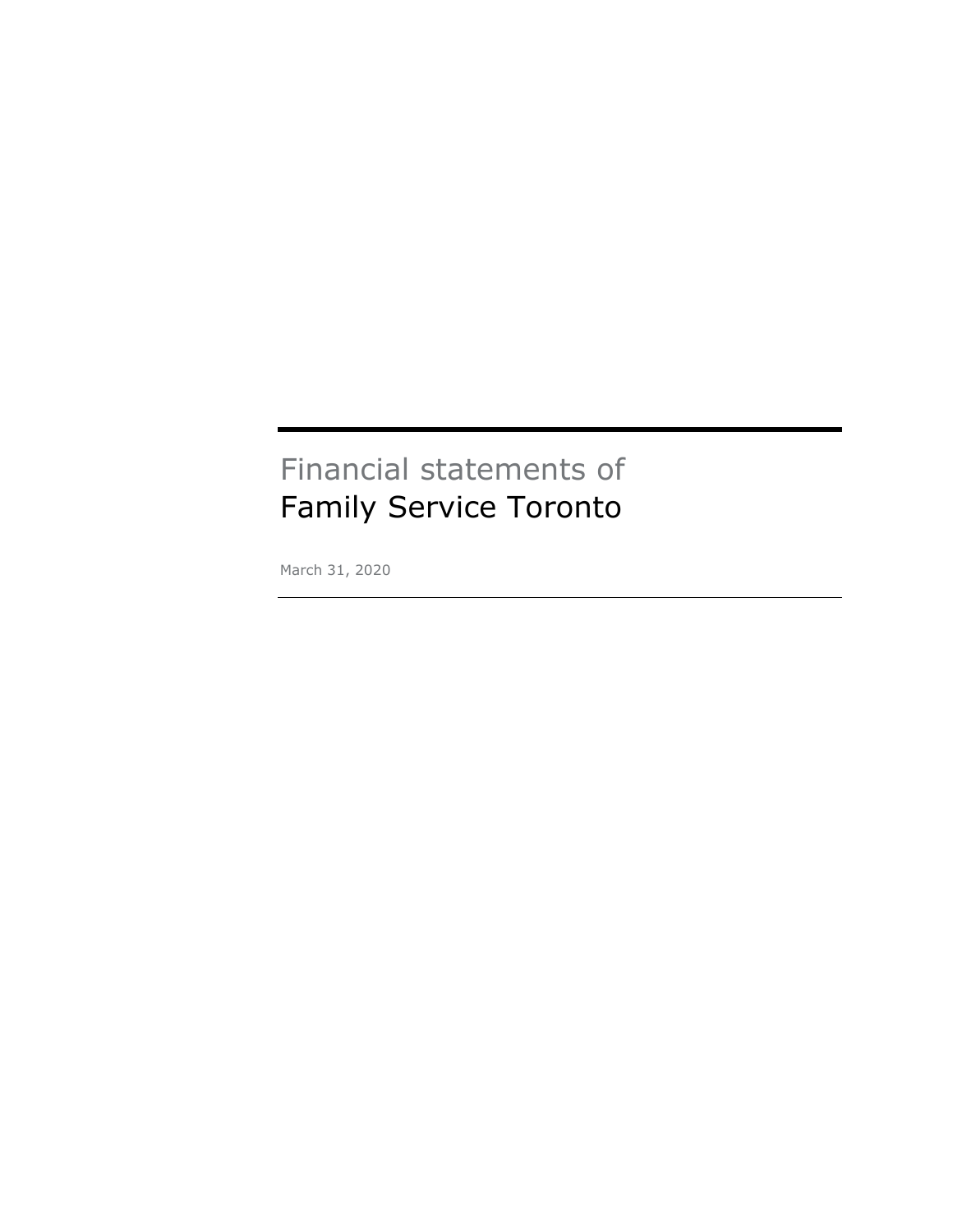# Financial statements of Family Service Toronto

March 31, 2020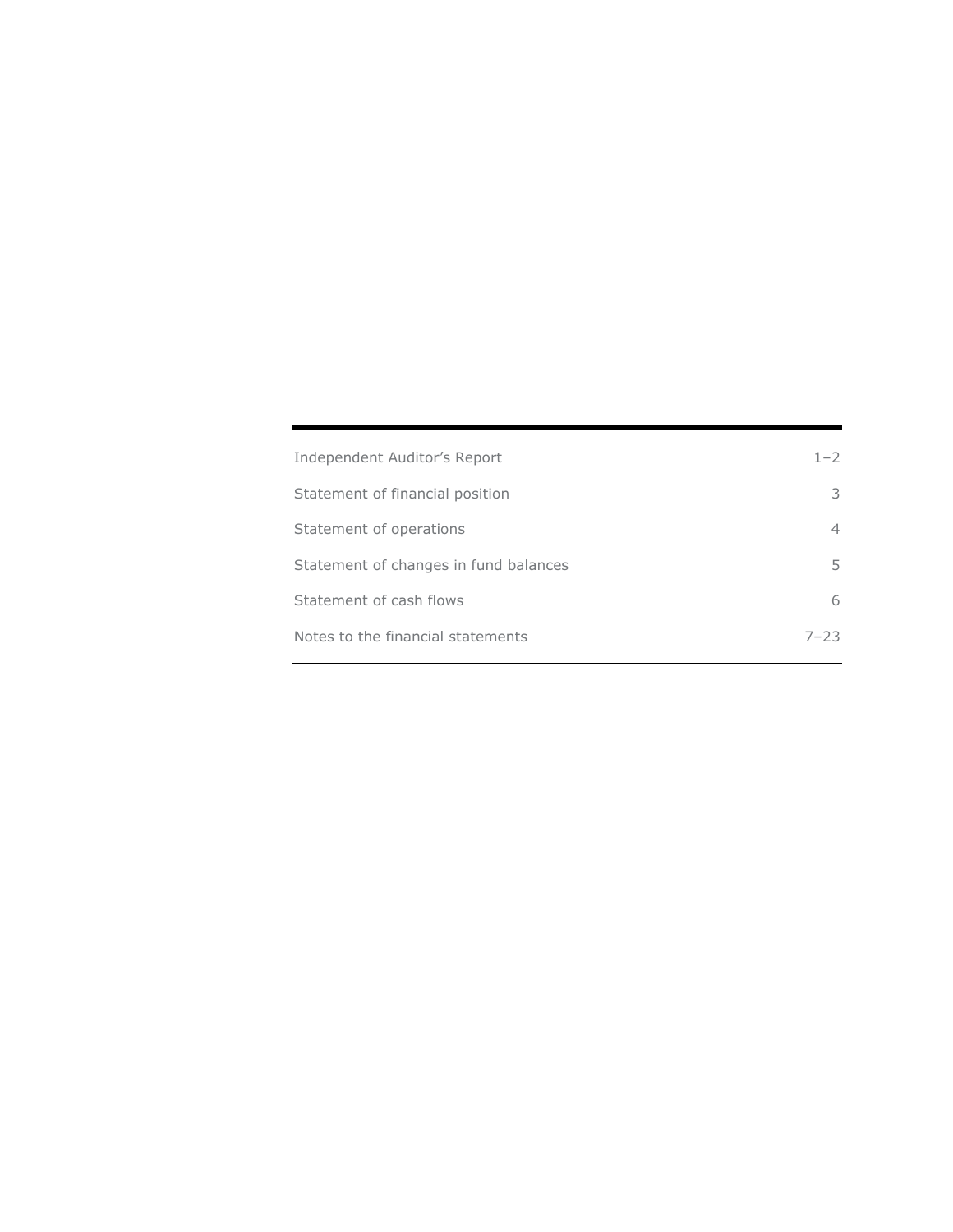| Independent Auditor's Report          | $1 - 2$  |
|---------------------------------------|----------|
| Statement of financial position       | 3        |
| Statement of operations               | 4        |
| Statement of changes in fund balances | 5.       |
| Statement of cash flows               | 6        |
| Notes to the financial statements     | $7 - 23$ |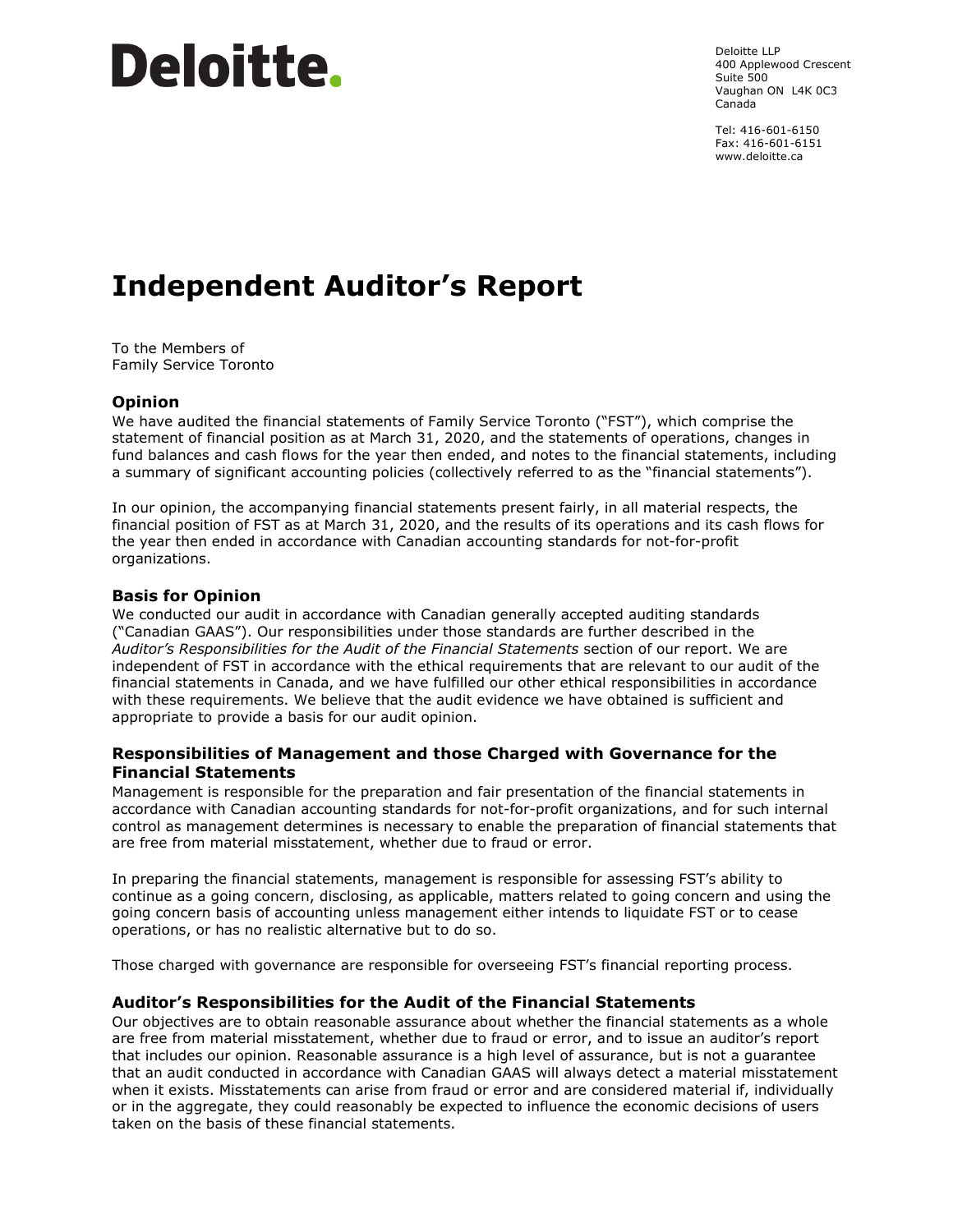# **Deloitte**.

Deloitte LLP 400 Applewood Crescent Suite 500 Vaughan ON L4K 0C3 Canada

Tel: 416-601-6150 Fax: 416-601-6151 www.deloitte.ca

# **Independent Auditor's Report**

To the Members of Family Service Toronto

# **Opinion**

We have audited the financial statements of Family Service Toronto ("FST"), which comprise the statement of financial position as at March 31, 2020, and the statements of operations, changes in fund balances and cash flows for the year then ended, and notes to the financial statements, including a summary of significant accounting policies (collectively referred to as the "financial statements").

In our opinion, the accompanying financial statements present fairly, in all material respects, the financial position of FST as at March 31, 2020, and the results of its operations and its cash flows for the year then ended in accordance with Canadian accounting standards for not-for-profit organizations.

# **Basis for Opinion**

We conducted our audit in accordance with Canadian generally accepted auditing standards ("Canadian GAAS"). Our responsibilities under those standards are further described in the *Auditor's Responsibilities for the Audit of the Financial Statements* section of our report. We are independent of FST in accordance with the ethical requirements that are relevant to our audit of the financial statements in Canada, and we have fulfilled our other ethical responsibilities in accordance with these requirements. We believe that the audit evidence we have obtained is sufficient and appropriate to provide a basis for our audit opinion.

# **Responsibilities of Management and those Charged with Governance for the Financial Statements**

Management is responsible for the preparation and fair presentation of the financial statements in accordance with Canadian accounting standards for not-for-profit organizations, and for such internal control as management determines is necessary to enable the preparation of financial statements that are free from material misstatement, whether due to fraud or error.

In preparing the financial statements, management is responsible for assessing FST's ability to continue as a going concern, disclosing, as applicable, matters related to going concern and using the going concern basis of accounting unless management either intends to liquidate FST or to cease operations, or has no realistic alternative but to do so.

Those charged with governance are responsible for overseeing FST's financial reporting process.

#### **Auditor's Responsibilities for the Audit of the Financial Statements**

Our objectives are to obtain reasonable assurance about whether the financial statements as a whole are free from material misstatement, whether due to fraud or error, and to issue an auditor's report that includes our opinion. Reasonable assurance is a high level of assurance, but is not a guarantee that an audit conducted in accordance with Canadian GAAS will always detect a material misstatement when it exists. Misstatements can arise from fraud or error and are considered material if, individually or in the aggregate, they could reasonably be expected to influence the economic decisions of users taken on the basis of these financial statements.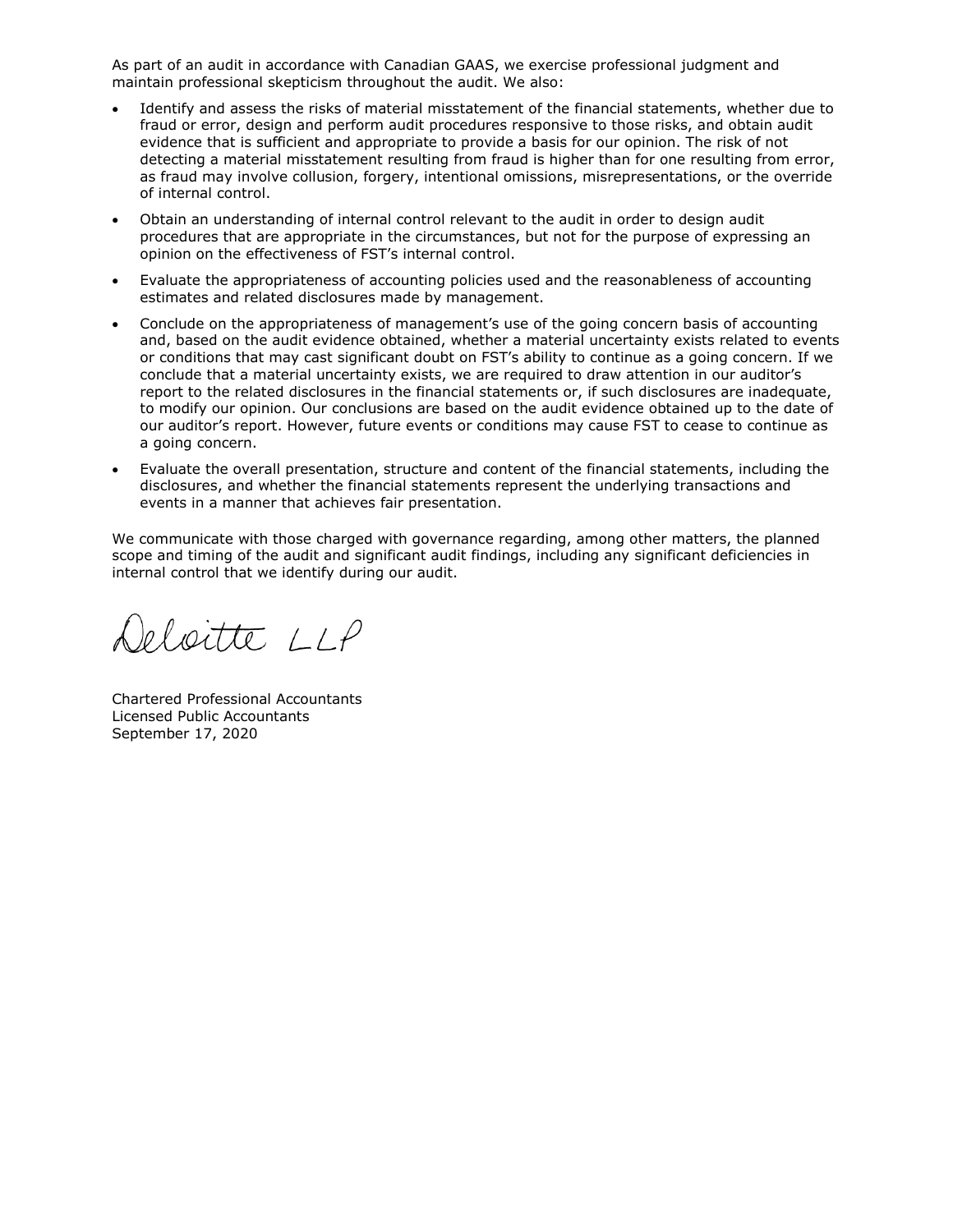As part of an audit in accordance with Canadian GAAS, we exercise professional judgment and maintain professional skepticism throughout the audit. We also:

- Identify and assess the risks of material misstatement of the financial statements, whether due to fraud or error, design and perform audit procedures responsive to those risks, and obtain audit evidence that is sufficient and appropriate to provide a basis for our opinion. The risk of not detecting a material misstatement resulting from fraud is higher than for one resulting from error, as fraud may involve collusion, forgery, intentional omissions, misrepresentations, or the override of internal control.
- Obtain an understanding of internal control relevant to the audit in order to design audit procedures that are appropriate in the circumstances, but not for the purpose of expressing an opinion on the effectiveness of FST's internal control.
- Evaluate the appropriateness of accounting policies used and the reasonableness of accounting estimates and related disclosures made by management.
- Conclude on the appropriateness of management's use of the going concern basis of accounting and, based on the audit evidence obtained, whether a material uncertainty exists related to events or conditions that may cast significant doubt on FST's ability to continue as a going concern. If we conclude that a material uncertainty exists, we are required to draw attention in our auditor's report to the related disclosures in the financial statements or, if such disclosures are inadequate, to modify our opinion. Our conclusions are based on the audit evidence obtained up to the date of our auditor's report. However, future events or conditions may cause FST to cease to continue as a going concern.
- Evaluate the overall presentation, structure and content of the financial statements, including the disclosures, and whether the financial statements represent the underlying transactions and events in a manner that achieves fair presentation.

We communicate with those charged with governance regarding, among other matters, the planned scope and timing of the audit and significant audit findings, including any significant deficiencies in internal control that we identify during our audit.

eloitte LLP

Chartered Professional Accountants Licensed Public Accountants September 17, 2020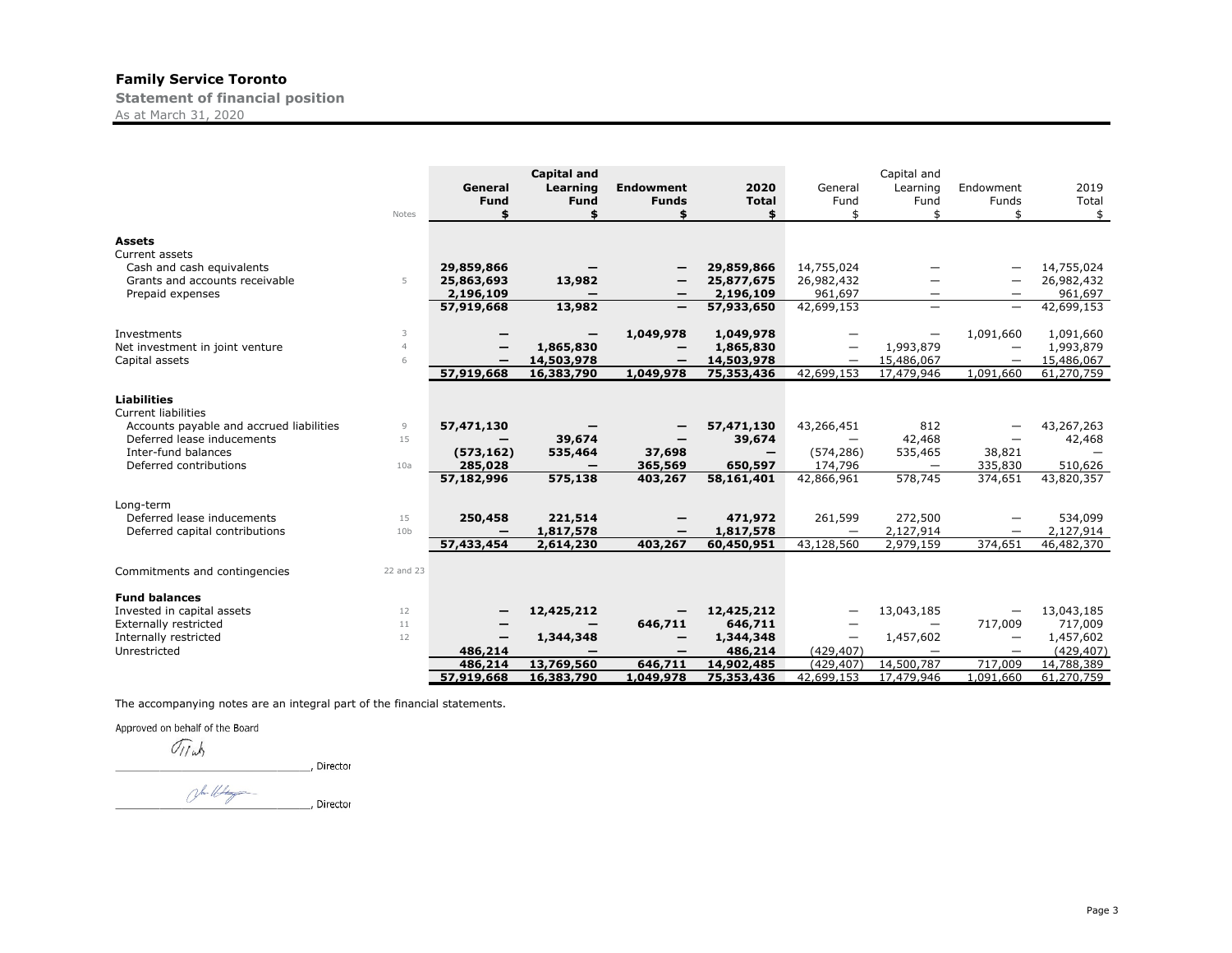**Statement of financial position**

As at March 31, 2020

|                                                                                                                                                                             | Notes                       | General<br><b>Fund</b>                              | <b>Capital and</b><br>Learning<br><b>Fund</b><br>\$ | <b>Endowment</b><br><b>Funds</b>                          | 2020<br><b>Total</b><br>\$                                                | General<br>Fund<br>ፍ                              | Capital and<br>Learning<br>Fund<br>ፍ                            | Endowment<br>Funds<br>ፍ                                 | 2019<br>Total<br>\$                                |
|-----------------------------------------------------------------------------------------------------------------------------------------------------------------------------|-----------------------------|-----------------------------------------------------|-----------------------------------------------------|-----------------------------------------------------------|---------------------------------------------------------------------------|---------------------------------------------------|-----------------------------------------------------------------|---------------------------------------------------------|----------------------------------------------------|
| <b>Assets</b><br>Current assets<br>Cash and cash equivalents<br>Grants and accounts receivable<br>Prepaid expenses                                                          | 5                           | 29,859,866<br>25,863,693<br>2,196,109<br>57,919,668 | 13,982<br>13,982                                    | -<br>$\overline{\phantom{m}}$<br>$\overline{\phantom{0}}$ | 29,859,866<br>25,877,675<br>2,196,109<br>57,933,650                       | 14,755,024<br>26,982,432<br>961,697<br>42,699,153 | —                                                               | $\overline{\phantom{0}}$                                | 14,755,024<br>26,982,432<br>961,697<br>42,699,153  |
| Investments<br>Net investment in joint venture<br>Capital assets                                                                                                            | 3<br>$\overline{4}$<br>6    | 57,919,668                                          | 1,865,830<br>14,503,978<br>16,383,790               | 1,049,978<br>1,049,978                                    | 1,049,978<br>1,865,830<br>14,503,978<br>75,353,436                        | 42.699.153                                        | 1,993,879<br>15,486,067<br>17,479,946                           | 1,091,660<br>1.091,660                                  | 1,091,660<br>1,993,879<br>15,486,067<br>61,270,759 |
| <b>Liabilities</b><br><b>Current liabilities</b><br>Accounts payable and accrued liabilities<br>Deferred lease inducements<br>Inter-fund balances<br>Deferred contributions | 9<br>15<br>10a              | 57,471,130<br>(573, 162)<br>285,028<br>57,182,996   | 39,674<br>535,464<br>575,138                        | $\overline{\phantom{0}}$<br>37,698<br>365,569<br>403,267  | 57,471,130<br>39,674<br>$\overline{\phantom{0}}$<br>650,597<br>58,161,401 | 43,266,451<br>(574, 286)<br>174,796<br>42,866,961 | 812<br>42,468<br>535,465<br>$\overline{\phantom{0}}$<br>578,745 | 38,821<br>335,830<br>374,651                            | 43,267,263<br>42,468<br>510,626<br>43,820,357      |
| Long-term<br>Deferred lease inducements<br>Deferred capital contributions                                                                                                   | 15<br>10 <sub>b</sub>       | 250,458<br>57,433,454                               | 221,514<br>1,817,578<br>2,614,230                   | 403,267                                                   | 471,972<br>1,817,578<br>60,450,951                                        | 261,599<br>43,128,560                             | 272,500<br>2,127,914<br>2,979,159                               | 374,651                                                 | 534,099<br>2,127,914<br>46,482,370                 |
| Commitments and contingencies<br><b>Fund balances</b><br>Invested in capital assets<br><b>Externally restricted</b><br>Internally restricted                                | 22 and 23<br>12<br>11<br>12 |                                                     | 12,425,212<br>1,344,348                             | -<br>646,711<br>-                                         | 12,425,212<br>646,711<br>1,344,348                                        |                                                   | 13,043,185<br>$\overline{\phantom{0}}$<br>1,457,602             | 717,009<br>$\overline{\phantom{0}}$                     | 13,043,185<br>717,009<br>1,457,602                 |
| Unrestricted                                                                                                                                                                |                             | 486,214<br>486,214<br>57,919,668                    | 13,769,560<br>16,383,790                            | -<br>646,711<br>1,049,978                                 | 486,214<br>14,902,485<br>75,353,436                                       | (429, 407)<br>(429.407)<br>42,699,153             | $\overbrace{\phantom{1232211}}$<br>14,500,787<br>17,479,946     | $\overbrace{\phantom{1232211}}$<br>717,009<br>1.091.660 | (429, 407)<br>14,788,389<br>61,270,759             |

The accompanying notes are an integral part of the financial statements.

Approved on behalf of the Board

Tijub

 $U/|\omega\rangle$ , Director

Jour What \_, Director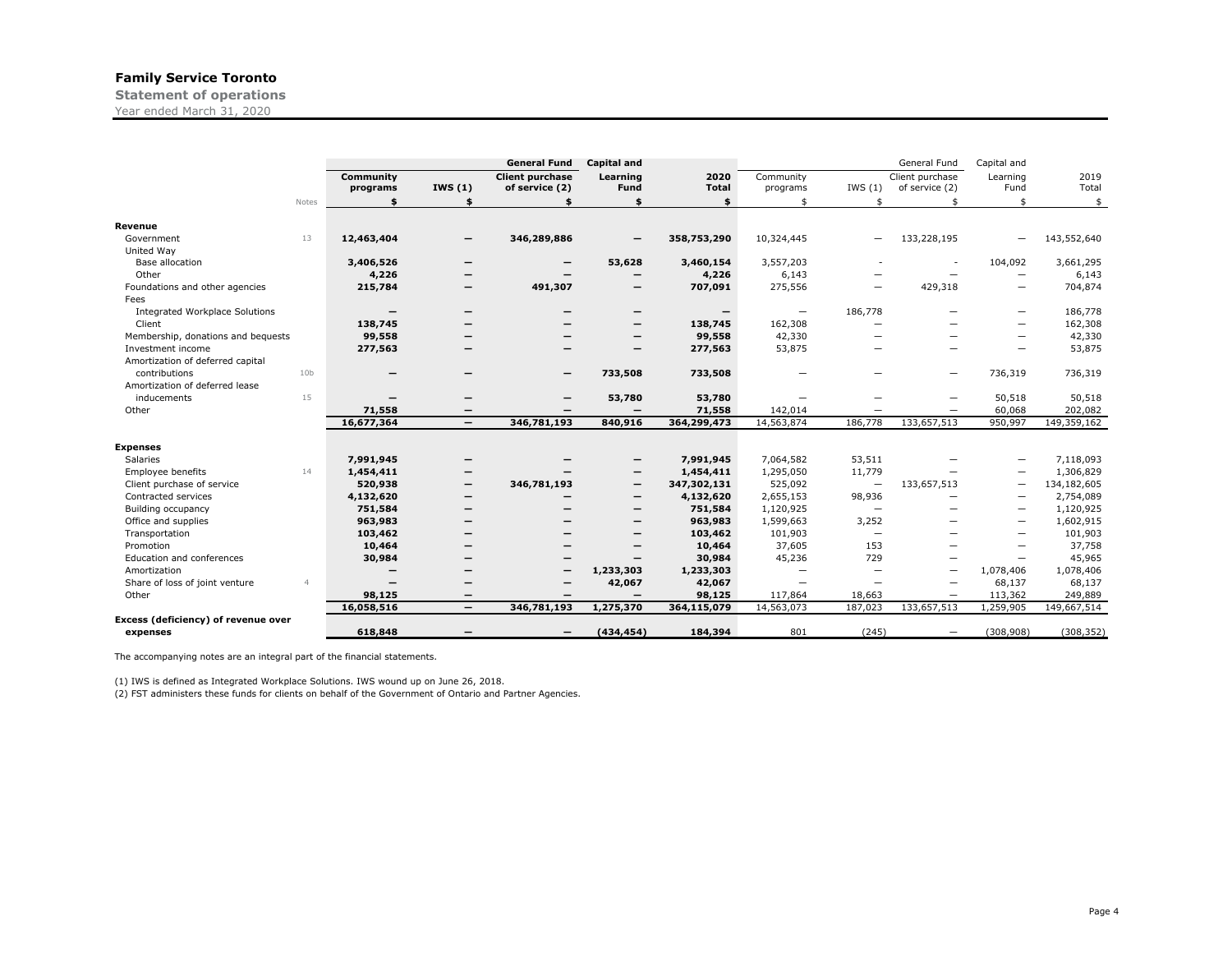**Statement of operations** Year ended March 31, 2020

|                                                  |                          |                          | <b>General Fund</b>          | <b>Capital and</b>       |              |                          |                          | General Fund             | Capital and              |               |
|--------------------------------------------------|--------------------------|--------------------------|------------------------------|--------------------------|--------------|--------------------------|--------------------------|--------------------------|--------------------------|---------------|
|                                                  | Community                |                          | <b>Client purchase</b>       | Learning                 | 2020         | Community                |                          | Client purchase          | Learning                 | 2019          |
|                                                  | programs                 | IWS $(1)$                | of service (2)               | Fund                     | <b>Total</b> | programs                 | IWS(1)                   | of service (2)           | Fund                     | Total         |
| Notes                                            | \$                       | \$                       | \$                           | \$                       | \$           | \$                       | \$                       | \$                       | \$                       | $\frac{1}{2}$ |
| Revenue                                          |                          |                          |                              |                          |              |                          |                          |                          |                          |               |
| 13<br>Government                                 | 12,463,404               | $\overline{\phantom{m}}$ | 346,289,886                  |                          | 358,753,290  | 10,324,445               |                          | 133,228,195              |                          | 143,552,640   |
| United Way                                       |                          |                          |                              |                          |              |                          |                          |                          |                          |               |
| Base allocation                                  | 3,406,526                | -                        |                              | 53,628                   | 3,460,154    | 3,557,203                |                          | $\overline{\phantom{a}}$ | 104,092                  | 3,661,295     |
| Other                                            | 4,226                    |                          | —                            |                          | 4,226        | 6,143                    |                          | $\overline{\phantom{0}}$ | $\overline{\phantom{0}}$ | 6,143         |
| Foundations and other agencies                   | 215,784                  | -                        | 491,307                      | $\overline{\phantom{m}}$ | 707,091      | 275,556                  |                          | 429,318                  | $\overline{\phantom{0}}$ | 704,874       |
| Fees                                             |                          |                          |                              |                          |              |                          |                          |                          |                          |               |
| <b>Integrated Workplace Solutions</b>            |                          | -                        |                              | $\overline{\phantom{m}}$ |              | $\overline{\phantom{0}}$ | 186,778                  |                          | —                        | 186,778       |
| Client                                           | 138,745                  |                          |                              | $\overline{\phantom{m}}$ | 138,745      | 162,308                  | -                        |                          | —                        | 162,308       |
| Membership, donations and bequests               | 99,558                   |                          |                              | $\overline{\phantom{m}}$ | 99,558       | 42,330                   |                          |                          | -                        | 42,330        |
| Investment income                                | 277,563                  |                          | -                            |                          | 277,563      | 53,875                   |                          |                          | -                        | 53,875        |
| Amortization of deferred capital                 |                          |                          |                              |                          |              |                          |                          |                          |                          |               |
| contributions<br>10 <sub>b</sub>                 |                          | -                        | $\qquad \qquad \blacksquare$ | 733,508                  | 733,508      |                          |                          | -                        | 736,319                  | 736,319       |
| Amortization of deferred lease                   |                          |                          |                              |                          |              |                          |                          |                          |                          |               |
| 15<br>inducements                                | $\overline{\phantom{0}}$ | $\overline{\phantom{0}}$ | $\overline{\phantom{m}}$     | 53,780                   | 53,780       | $\overline{\phantom{0}}$ |                          |                          | 50,518                   | 50,518        |
| Other                                            | 71,558                   | -                        | $\overline{\phantom{m}}$     | $\overline{\phantom{m}}$ | 71,558       | 142,014                  |                          |                          | 60,068                   | 202,082       |
|                                                  | 16,677,364               | $\overline{\phantom{m}}$ | 346,781,193                  | 840,916                  | 364,299,473  | 14,563,874               | 186,778                  | 133,657,513              | 950,997                  | 149,359,162   |
|                                                  |                          |                          |                              |                          |              |                          |                          |                          |                          |               |
| <b>Expenses</b>                                  |                          |                          |                              |                          |              |                          |                          |                          |                          |               |
| Salaries                                         | 7,991,945                |                          |                              |                          | 7,991,945    | 7,064,582                | 53,511                   |                          | —                        | 7,118,093     |
| Employee benefits<br>14                          | 1,454,411                |                          |                              | $\overline{\phantom{m}}$ | 1,454,411    | 1,295,050                | 11,779                   |                          |                          | 1,306,829     |
| Client purchase of service                       | 520,938                  |                          | 346,781,193                  | $\overline{\phantom{m}}$ | 347,302,131  | 525,092                  | $\overline{\phantom{m}}$ | 133,657,513              | —                        | 134,182,605   |
| Contracted services                              | 4,132,620                |                          |                              | $\overline{\phantom{m}}$ | 4,132,620    | 2,655,153                | 98,936                   |                          | $\overline{\phantom{0}}$ | 2,754,089     |
| Building occupancy                               | 751,584                  |                          |                              | $\overline{\phantom{m}}$ | 751,584      | 1,120,925                | $\overline{\phantom{m}}$ | -                        |                          | 1,120,925     |
| Office and supplies                              | 963,983                  |                          |                              | $\overline{\phantom{m}}$ | 963,983      | 1,599,663                | 3,252                    |                          |                          | 1,602,915     |
| Transportation                                   | 103,462                  |                          | -                            | $\overline{\phantom{0}}$ | 103,462      | 101,903                  |                          |                          |                          | 101,903       |
| Promotion                                        | 10,464                   |                          |                              |                          | 10,464       | 37,605                   | 153                      |                          | $\overline{\phantom{0}}$ | 37,758        |
| Education and conferences                        | 30,984                   |                          | -                            |                          | 30,984       | 45,236                   | 729                      | -                        | -                        | 45,965        |
| Amortization                                     | $\overline{\phantom{0}}$ | -                        | $\overline{\phantom{m}}$     | 1,233,303                | 1,233,303    | $\overline{\phantom{0}}$ | $\overline{\phantom{0}}$ | $\overline{\phantom{0}}$ | 1,078,406                | 1,078,406     |
| Share of loss of joint venture<br>$\overline{4}$ | -                        | -                        | -                            | 42,067                   | 42,067       | $\overline{\phantom{0}}$ | $\overline{\phantom{0}}$ | $\overline{\phantom{0}}$ | 68,137                   | 68,137        |
| Other                                            | 98,125                   |                          | $\overline{\phantom{m}}$     | $\overline{\phantom{m}}$ | 98,125       | 117,864                  | 18,663                   | $\overline{\phantom{0}}$ | 113,362                  | 249,889       |
|                                                  | 16,058,516               | $\overline{\phantom{m}}$ | 346,781,193                  | 1,275,370                | 364,115,079  | 14,563,073               | 187,023                  | 133,657,513              | 1,259,905                | 149,667,514   |
| Excess (deficiency) of revenue over              |                          |                          |                              |                          |              |                          |                          |                          |                          |               |
| expenses                                         | 618,848                  |                          | $\overline{\phantom{m}}$     | (434, 454)               | 184,394      | 801                      | (245)                    | $\overline{\phantom{m}}$ | (308, 908)               | (308, 352)    |

The accompanying notes are an integral part of the financial statements.

(1) IWS is defined as Integrated Workplace Solutions. IWS wound up on June 26, 2018. (2) FST administers these funds for clients on behalf of the Government of Ontario and Partner Agencies.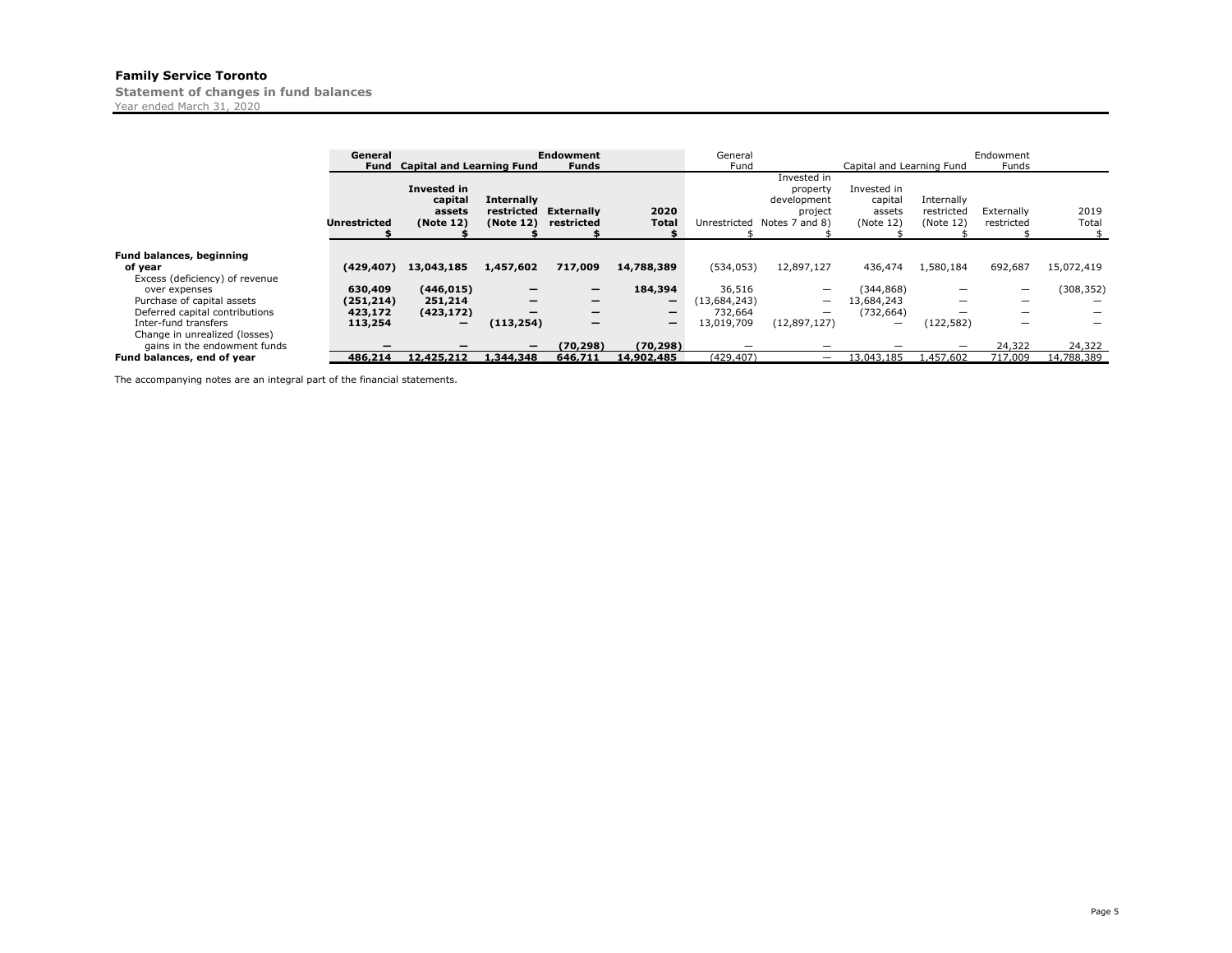**Statement of changes in fund balances**

Year ended March 31, 2020

|                                                                                                       | General<br>Fund                             | <b>Capital and Learning Fund</b>                                |                                              | <b>Endowment</b><br><b>Funds</b>                               |                                                                                             | General<br>Fund                                 |                                                                     | Capital and Learning Fund                     |                                             | Endowment<br>Funds                 |                      |
|-------------------------------------------------------------------------------------------------------|---------------------------------------------|-----------------------------------------------------------------|----------------------------------------------|----------------------------------------------------------------|---------------------------------------------------------------------------------------------|-------------------------------------------------|---------------------------------------------------------------------|-----------------------------------------------|---------------------------------------------|------------------------------------|----------------------|
|                                                                                                       | <b>Unrestricted</b>                         | <b>Invested in</b><br>capital<br>assets<br>(Note 12)            | <b>Internally</b><br>restricted<br>(Note 12) | <b>Externally</b><br>restricted                                | 2020<br><b>Total</b>                                                                        | Unrestricted                                    | Invested in<br>property<br>development<br>project<br>Notes 7 and 8) | Invested in<br>capital<br>assets<br>(Note 12) | Internally<br>restricted<br>(Note 12)       | Externally<br>restricted           | 2019<br>Total        |
| <b>Fund balances, beginning</b><br>of year<br>Excess (deficiency) of revenue                          | (429, 407)                                  | 13,043,185                                                      | 1,457,602                                    | 717,009                                                        | 14,788,389                                                                                  | (534, 053)                                      | 12,897,127                                                          | 436,474                                       | 1,580,184                                   | 692,687                            | 15,072,419           |
| over expenses<br>Purchase of capital assets<br>Deferred capital contributions<br>Inter-fund transfers | 630,409<br>(251, 214)<br>423,172<br>113,254 | (446, 015)<br>251,214<br>(423, 172)<br>$\overline{\phantom{0}}$ | $\overline{\phantom{0}}$<br>–<br>(113, 254)  | -<br>$\overline{\phantom{0}}$<br>—<br>$\overline{\phantom{0}}$ | 184,394<br>$\overline{\phantom{0}}$<br>$\overline{\phantom{0}}$<br>$\overline{\phantom{m}}$ | 36,516<br>(13,684,243)<br>732,664<br>13,019,709 | $\overline{\phantom{0}}$<br>-<br>(12,897,127)                       | (344, 868)<br>13,684,243<br>(732, 664)<br>-   | $\overline{\phantom{0}}$<br>-<br>(122, 582) | $\overline{\phantom{0}}$<br>-<br>- | (308, 352)           |
| Change in unrealized (losses)<br>gains in the endowment funds<br>Fund balances, end of year           | 486.214                                     | 12,425,212                                                      | 1,344,348                                    | (70.298)<br>646,711                                            | (70, 298)<br>14,902,485                                                                     | (429.407)                                       | -                                                                   | 13,043,185                                    | .457.602                                    | 24,322<br>717,009                  | 24,322<br>14,788,389 |

The accompanying notes are an integral part of the financial statements.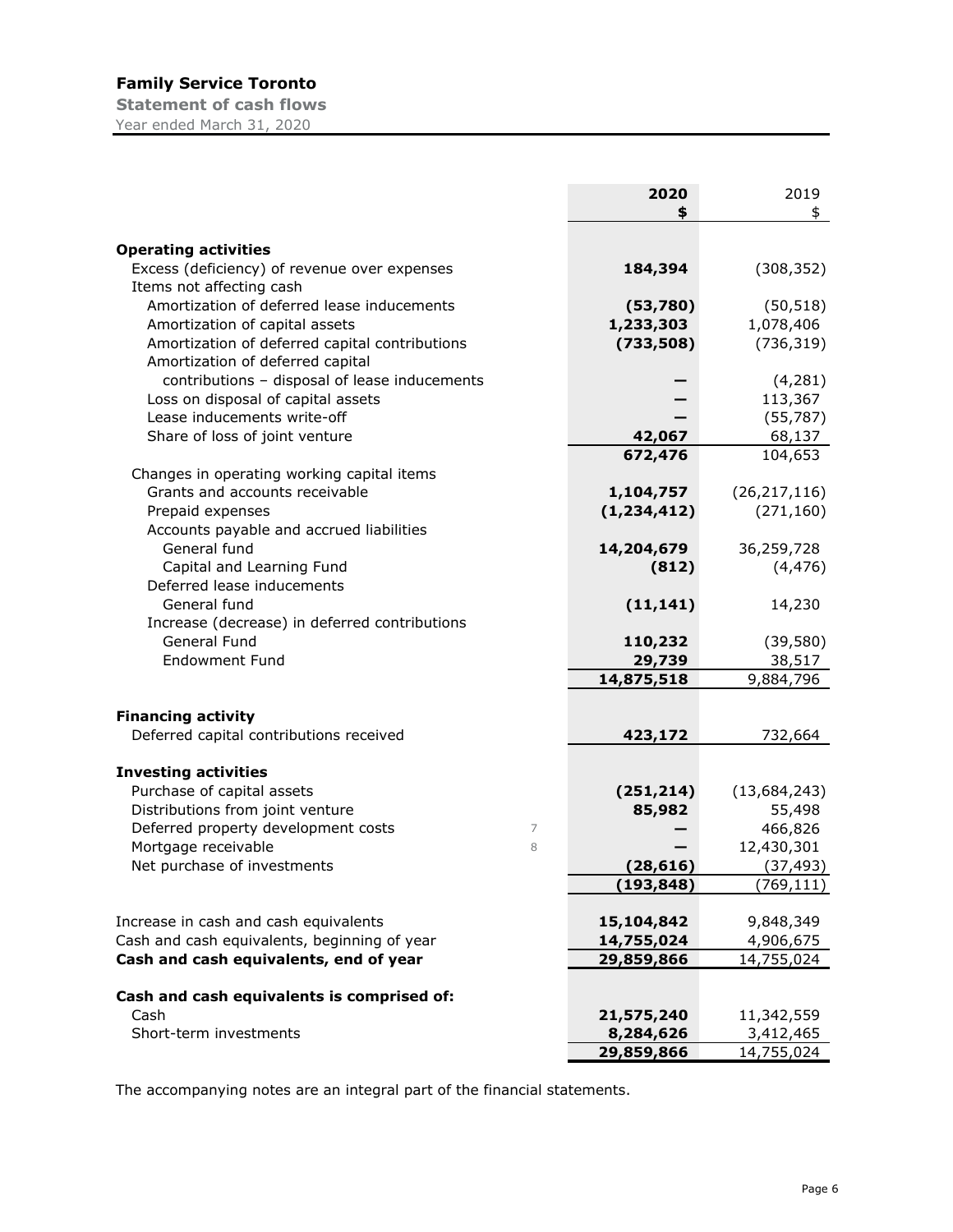**Statement of cash flows** Year ended March 31, 2020

|                                                | 2020          | 2019           |
|------------------------------------------------|---------------|----------------|
|                                                | \$            | \$             |
| <b>Operating activities</b>                    |               |                |
| Excess (deficiency) of revenue over expenses   | 184,394       | (308, 352)     |
| Items not affecting cash                       |               |                |
| Amortization of deferred lease inducements     | (53,780)      | (50, 518)      |
| Amortization of capital assets                 | 1,233,303     | 1,078,406      |
| Amortization of deferred capital contributions | (733,508)     | (736, 319)     |
| Amortization of deferred capital               |               |                |
| contributions - disposal of lease inducements  |               | (4, 281)       |
| Loss on disposal of capital assets             |               | 113,367        |
| Lease inducements write-off                    |               | (55, 787)      |
| Share of loss of joint venture                 | 42,067        | 68,137         |
|                                                | 672,476       | 104,653        |
| Changes in operating working capital items     |               |                |
| Grants and accounts receivable                 | 1,104,757     | (26, 217, 116) |
| Prepaid expenses                               | (1, 234, 412) | (271, 160)     |
| Accounts payable and accrued liabilities       |               |                |
| General fund                                   | 14,204,679    | 36,259,728     |
| Capital and Learning Fund                      | (812)         | (4, 476)       |
| Deferred lease inducements                     |               |                |
| General fund                                   | (11, 141)     | 14,230         |
| Increase (decrease) in deferred contributions  |               |                |
| General Fund                                   | 110,232       | (39, 580)      |
| <b>Endowment Fund</b>                          | 29,739        | 38,517         |
|                                                | 14,875,518    | 9,884,796      |
|                                                |               |                |
| <b>Financing activity</b>                      |               |                |
| Deferred capital contributions received        | 423,172       | 732,664        |
|                                                |               |                |
| <b>Investing activities</b>                    |               |                |
| Purchase of capital assets                     | (251, 214)    | (13, 684, 243) |
| Distributions from joint venture               | 85,982        | 55,498         |
| Deferred property development costs<br>7       |               | 466,826        |
| Mortgage receivable<br>8                       |               | 12,430,301     |
| Net purchase of investments                    | (28, 616)     | (37, 493)      |
|                                                | (193,848)     | (769, 111)     |
| Increase in cash and cash equivalents          | 15,104,842    | 9,848,349      |
| Cash and cash equivalents, beginning of year   | 14,755,024    | 4,906,675      |
| Cash and cash equivalents, end of year         | 29,859,866    | 14,755,024     |
|                                                |               |                |
| Cash and cash equivalents is comprised of:     |               |                |
| Cash                                           | 21,575,240    | 11,342,559     |
| Short-term investments                         | 8,284,626     | 3,412,465      |
|                                                | 29,859,866    | 14,755,024     |

The accompanying notes are an integral part of the financial statements.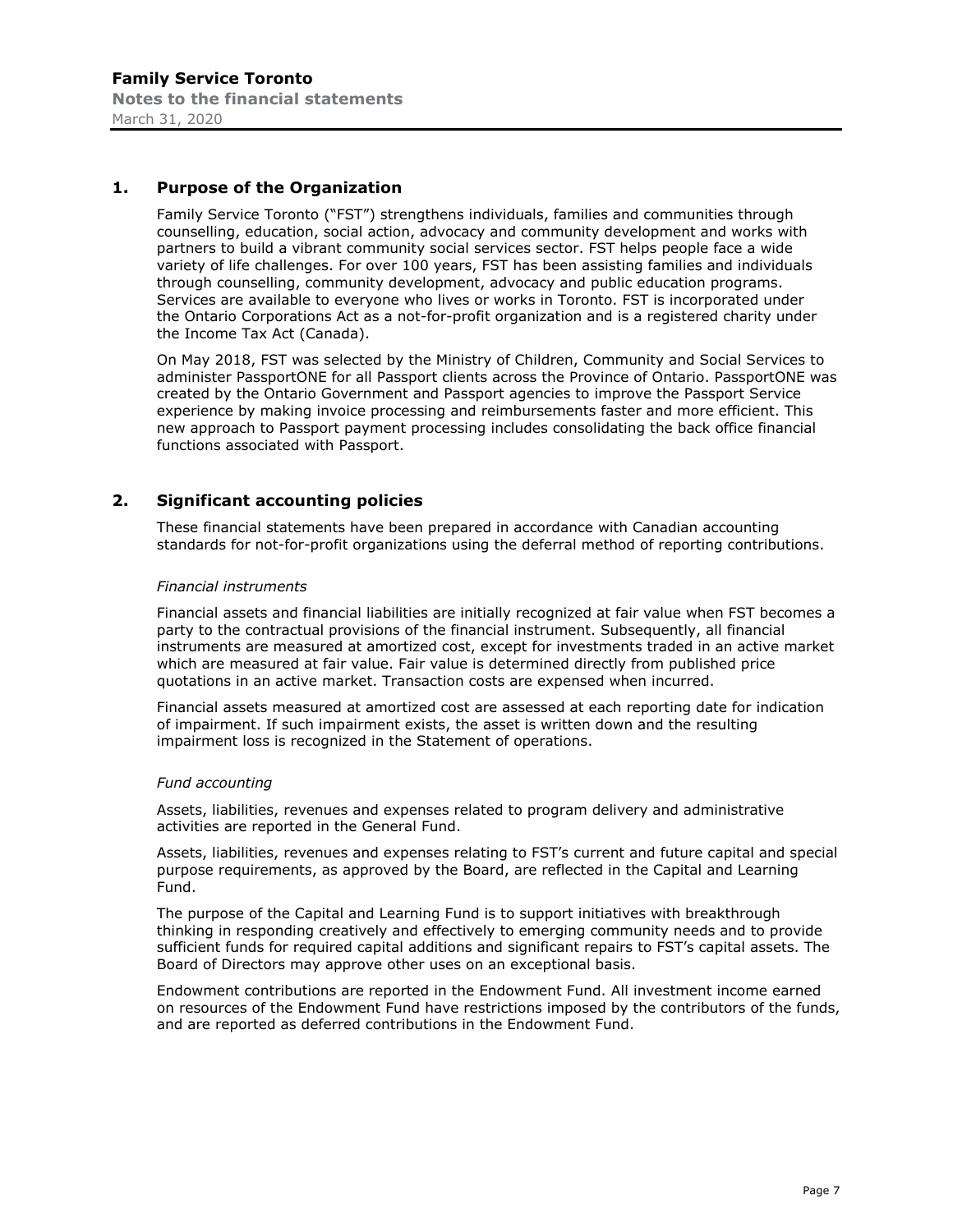# **1. Purpose of the Organization**

Family Service Toronto ("FST") strengthens individuals, families and communities through counselling, education, social action, advocacy and community development and works with partners to build a vibrant community social services sector. FST helps people face a wide variety of life challenges. For over 100 years, FST has been assisting families and individuals through counselling, community development, advocacy and public education programs. Services are available to everyone who lives or works in Toronto. FST is incorporated under the Ontario Corporations Act as a not-for-profit organization and is a registered charity under the Income Tax Act (Canada).

On May 2018, FST was selected by the Ministry of Children, Community and Social Services to administer PassportONE for all Passport clients across the Province of Ontario. PassportONE was created by the Ontario Government and Passport agencies to improve the Passport Service experience by making invoice processing and reimbursements faster and more efficient. This new approach to Passport payment processing includes consolidating the back office financial functions associated with Passport.

# **2. Significant accounting policies**

These financial statements have been prepared in accordance with Canadian accounting standards for not-for-profit organizations using the deferral method of reporting contributions.

#### *Financial instruments*

Financial assets and financial liabilities are initially recognized at fair value when FST becomes a party to the contractual provisions of the financial instrument. Subsequently, all financial instruments are measured at amortized cost, except for investments traded in an active market which are measured at fair value. Fair value is determined directly from published price quotations in an active market. Transaction costs are expensed when incurred.

Financial assets measured at amortized cost are assessed at each reporting date for indication of impairment. If such impairment exists, the asset is written down and the resulting impairment loss is recognized in the Statement of operations.

#### *Fund accounting*

Assets, liabilities, revenues and expenses related to program delivery and administrative activities are reported in the General Fund.

Assets, liabilities, revenues and expenses relating to FST's current and future capital and special purpose requirements, as approved by the Board, are reflected in the Capital and Learning Fund.

The purpose of the Capital and Learning Fund is to support initiatives with breakthrough thinking in responding creatively and effectively to emerging community needs and to provide sufficient funds for required capital additions and significant repairs to FST's capital assets. The Board of Directors may approve other uses on an exceptional basis.

Endowment contributions are reported in the Endowment Fund. All investment income earned on resources of the Endowment Fund have restrictions imposed by the contributors of the funds, and are reported as deferred contributions in the Endowment Fund.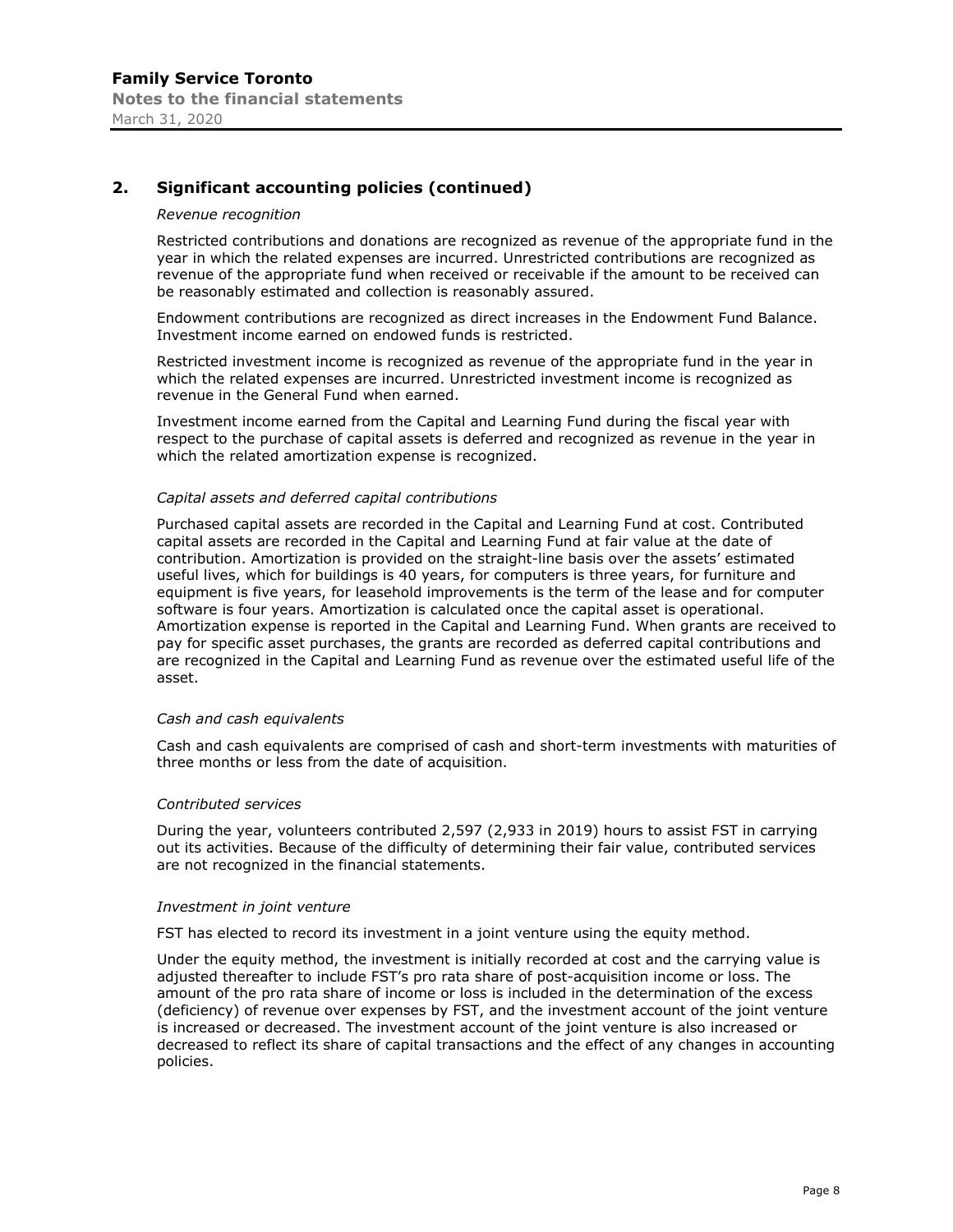# **2. Significant accounting policies (continued)**

#### *Revenue recognition*

Restricted contributions and donations are recognized as revenue of the appropriate fund in the year in which the related expenses are incurred. Unrestricted contributions are recognized as revenue of the appropriate fund when received or receivable if the amount to be received can be reasonably estimated and collection is reasonably assured.

Endowment contributions are recognized as direct increases in the Endowment Fund Balance. Investment income earned on endowed funds is restricted.

Restricted investment income is recognized as revenue of the appropriate fund in the year in which the related expenses are incurred. Unrestricted investment income is recognized as revenue in the General Fund when earned.

Investment income earned from the Capital and Learning Fund during the fiscal year with respect to the purchase of capital assets is deferred and recognized as revenue in the year in which the related amortization expense is recognized.

#### *Capital assets and deferred capital contributions*

Purchased capital assets are recorded in the Capital and Learning Fund at cost. Contributed capital assets are recorded in the Capital and Learning Fund at fair value at the date of contribution. Amortization is provided on the straight-line basis over the assets' estimated useful lives, which for buildings is 40 years, for computers is three years, for furniture and equipment is five years, for leasehold improvements is the term of the lease and for computer software is four years. Amortization is calculated once the capital asset is operational. Amortization expense is reported in the Capital and Learning Fund. When grants are received to pay for specific asset purchases, the grants are recorded as deferred capital contributions and are recognized in the Capital and Learning Fund as revenue over the estimated useful life of the asset.

#### *Cash and cash equivalents*

Cash and cash equivalents are comprised of cash and short-term investments with maturities of three months or less from the date of acquisition.

#### *Contributed services*

During the year, volunteers contributed 2,597 (2,933 in 2019) hours to assist FST in carrying out its activities. Because of the difficulty of determining their fair value, contributed services are not recognized in the financial statements.

#### *Investment in joint venture*

FST has elected to record its investment in a joint venture using the equity method.

Under the equity method, the investment is initially recorded at cost and the carrying value is adjusted thereafter to include FST's pro rata share of post-acquisition income or loss. The amount of the pro rata share of income or loss is included in the determination of the excess (deficiency) of revenue over expenses by FST, and the investment account of the joint venture is increased or decreased. The investment account of the joint venture is also increased or decreased to reflect its share of capital transactions and the effect of any changes in accounting policies.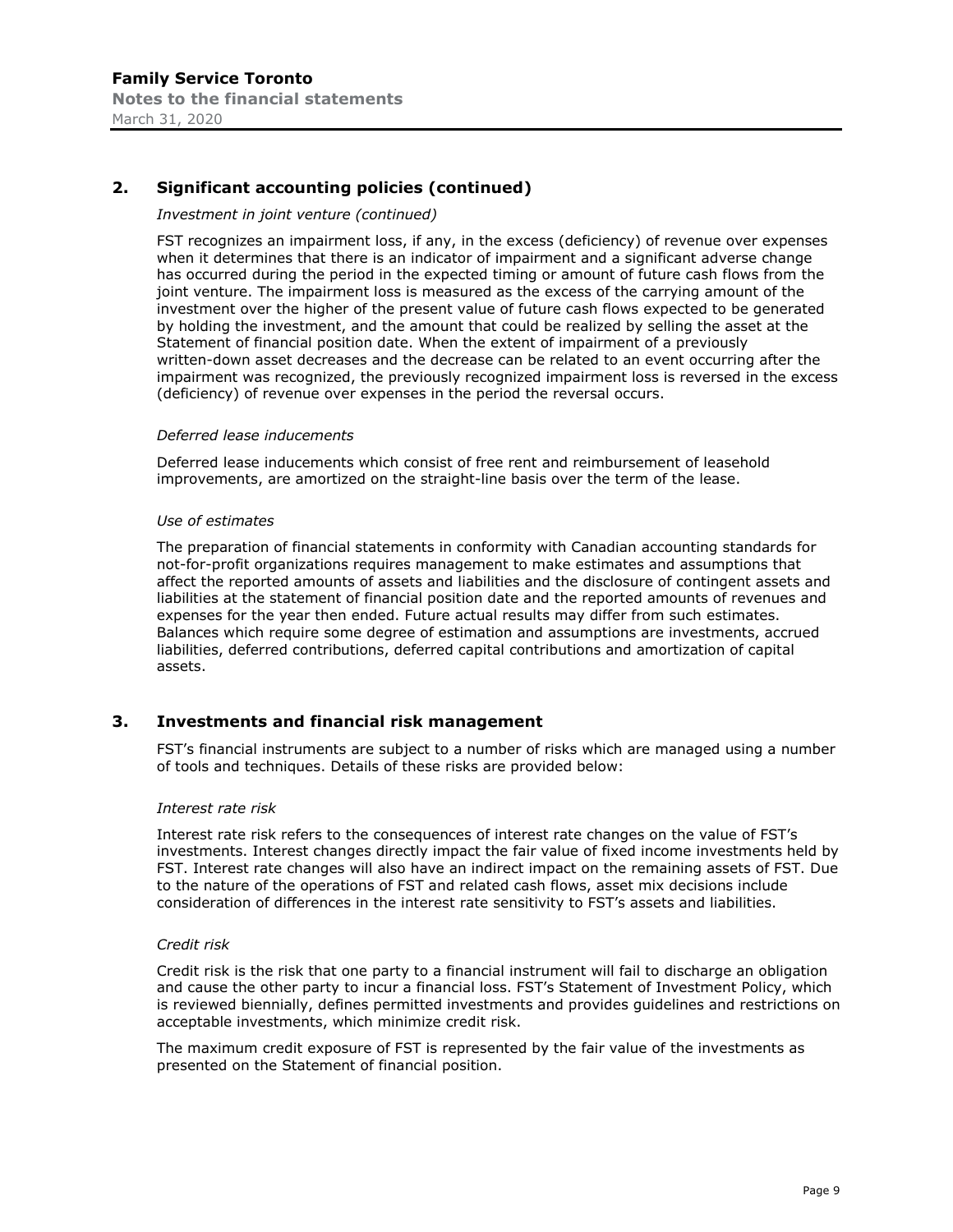# **2. Significant accounting policies (continued)**

#### *Investment in joint venture (continued)*

FST recognizes an impairment loss, if any, in the excess (deficiency) of revenue over expenses when it determines that there is an indicator of impairment and a significant adverse change has occurred during the period in the expected timing or amount of future cash flows from the joint venture. The impairment loss is measured as the excess of the carrying amount of the investment over the higher of the present value of future cash flows expected to be generated by holding the investment, and the amount that could be realized by selling the asset at the Statement of financial position date. When the extent of impairment of a previously written-down asset decreases and the decrease can be related to an event occurring after the impairment was recognized, the previously recognized impairment loss is reversed in the excess (deficiency) of revenue over expenses in the period the reversal occurs.

#### *Deferred lease inducements*

Deferred lease inducements which consist of free rent and reimbursement of leasehold improvements, are amortized on the straight-line basis over the term of the lease.

#### *Use of estimates*

The preparation of financial statements in conformity with Canadian accounting standards for not-for-profit organizations requires management to make estimates and assumptions that affect the reported amounts of assets and liabilities and the disclosure of contingent assets and liabilities at the statement of financial position date and the reported amounts of revenues and expenses for the year then ended. Future actual results may differ from such estimates. Balances which require some degree of estimation and assumptions are investments, accrued liabilities, deferred contributions, deferred capital contributions and amortization of capital assets.

# **3. Investments and financial risk management**

FST's financial instruments are subject to a number of risks which are managed using a number of tools and techniques. Details of these risks are provided below:

#### *Interest rate risk*

Interest rate risk refers to the consequences of interest rate changes on the value of FST's investments. Interest changes directly impact the fair value of fixed income investments held by FST. Interest rate changes will also have an indirect impact on the remaining assets of FST. Due to the nature of the operations of FST and related cash flows, asset mix decisions include consideration of differences in the interest rate sensitivity to FST's assets and liabilities.

#### *Credit risk*

Credit risk is the risk that one party to a financial instrument will fail to discharge an obligation and cause the other party to incur a financial loss. FST's Statement of Investment Policy, which is reviewed biennially, defines permitted investments and provides guidelines and restrictions on acceptable investments, which minimize credit risk.

The maximum credit exposure of FST is represented by the fair value of the investments as presented on the Statement of financial position.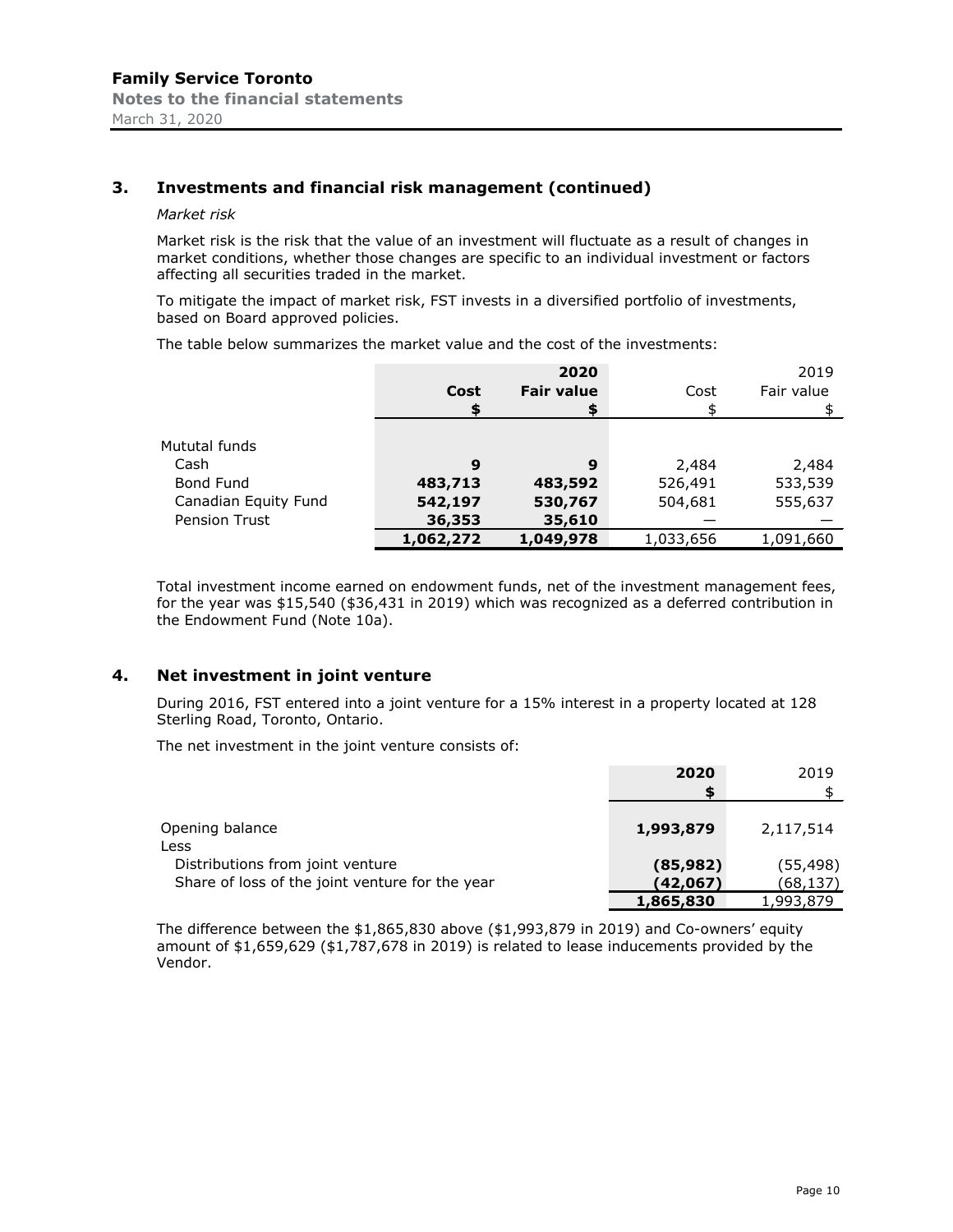# **3. Investments and financial risk management (continued)**

#### *Market risk*

Market risk is the risk that the value of an investment will fluctuate as a result of changes in market conditions, whether those changes are specific to an individual investment or factors affecting all securities traded in the market.

To mitigate the impact of market risk, FST invests in a diversified portfolio of investments, based on Board approved policies.

The table below summarizes the market value and the cost of the investments:

|                      |           | 2020              |           | 2019       |
|----------------------|-----------|-------------------|-----------|------------|
|                      | Cost      | <b>Fair value</b> | Cost      | Fair value |
|                      |           |                   |           |            |
|                      |           |                   |           |            |
| Mututal funds        |           |                   |           |            |
| Cash                 | 9         | 9                 | 2,484     | 2,484      |
| Bond Fund            | 483,713   | 483,592           | 526,491   | 533,539    |
| Canadian Equity Fund | 542,197   | 530,767           | 504,681   | 555,637    |
| <b>Pension Trust</b> | 36,353    | 35,610            |           |            |
|                      | 1,062,272 | 1,049,978         | 1,033,656 | 1,091,660  |

Total investment income earned on endowment funds, net of the investment management fees, for the year was \$15,540 (\$36,431 in 2019) which was recognized as a deferred contribution in the Endowment Fund (Note 10a).

#### **4. Net investment in joint venture**

During 2016, FST entered into a joint venture for a 15% interest in a property located at 128 Sterling Road, Toronto, Ontario.

The net investment in the joint venture consists of:

|                                                 | 2020<br>S | 2019      |
|-------------------------------------------------|-----------|-----------|
| Opening balance<br>Less                         | 1,993,879 | 2,117,514 |
| Distributions from joint venture                | (85, 982) | (55, 498) |
| Share of loss of the joint venture for the year | (42,067)  | (68,137)  |
|                                                 | 1,865,830 | 1,993,879 |

The difference between the  $$1,865,830$  above  $($1,993,879$  in 2019) and Co-owners' equity amount of \$1,659,629 (\$1,787,678 in 2019) is related to lease inducements provided by the Vendor.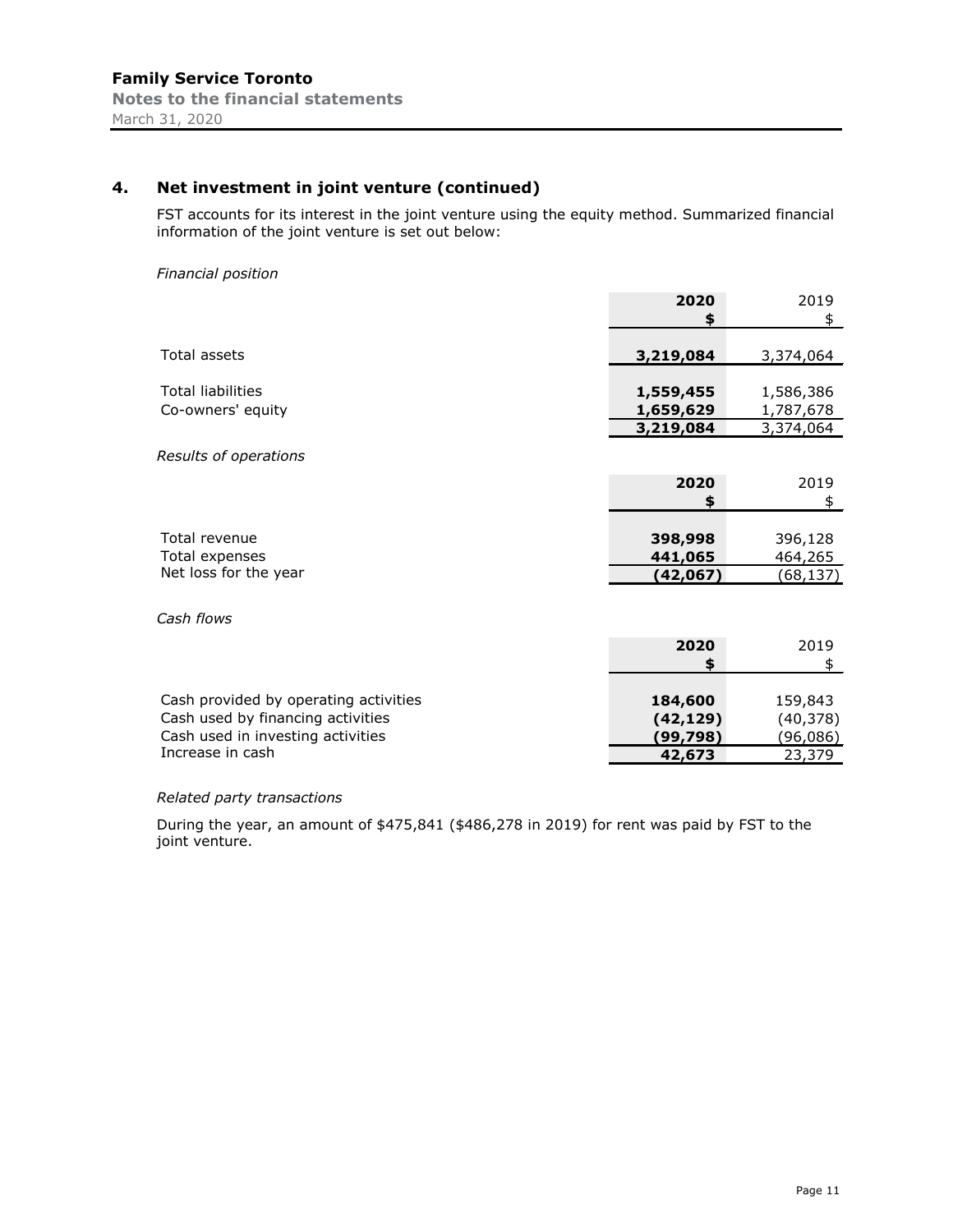# **4. Net investment in joint venture (continued)**

FST accounts for its interest in the joint venture using the equity method. Summarized financial information of the joint venture is set out below:

#### *Financial position*

|                                               | 2020                   | 2019                   |
|-----------------------------------------------|------------------------|------------------------|
|                                               | \$                     | \$                     |
| <b>Total assets</b>                           | 3,219,084              | 3,374,064              |
| <b>Total liabilities</b><br>Co-owners' equity | 1,559,455<br>1,659,629 | 1,586,386<br>1,787,678 |
|                                               | 3,219,084              | 3,374,064              |
| Results of operations                         |                        |                        |
|                                               | 2020                   | 2019                   |
|                                               | \$                     | \$                     |
|                                               |                        |                        |
| Total revenue                                 | 398,998                | 396,128                |
| Total expenses                                | 441,065                | 464,265                |
| Net loss for the year                         | (42,067)               | (68,137)               |

*Cash flows*

|                                       | 2020      | 2019     |
|---------------------------------------|-----------|----------|
|                                       |           |          |
|                                       |           |          |
| Cash provided by operating activities | 184,600   | 159,843  |
| Cash used by financing activities     | (42, 129) | (40,378) |
| Cash used in investing activities     | (99,798)  | (96,086) |
| Increase in cash                      | 42,673    | 23,379   |

#### *Related party transactions*

During the year, an amount of \$475,841 (\$486,278 in 2019) for rent was paid by FST to the joint venture.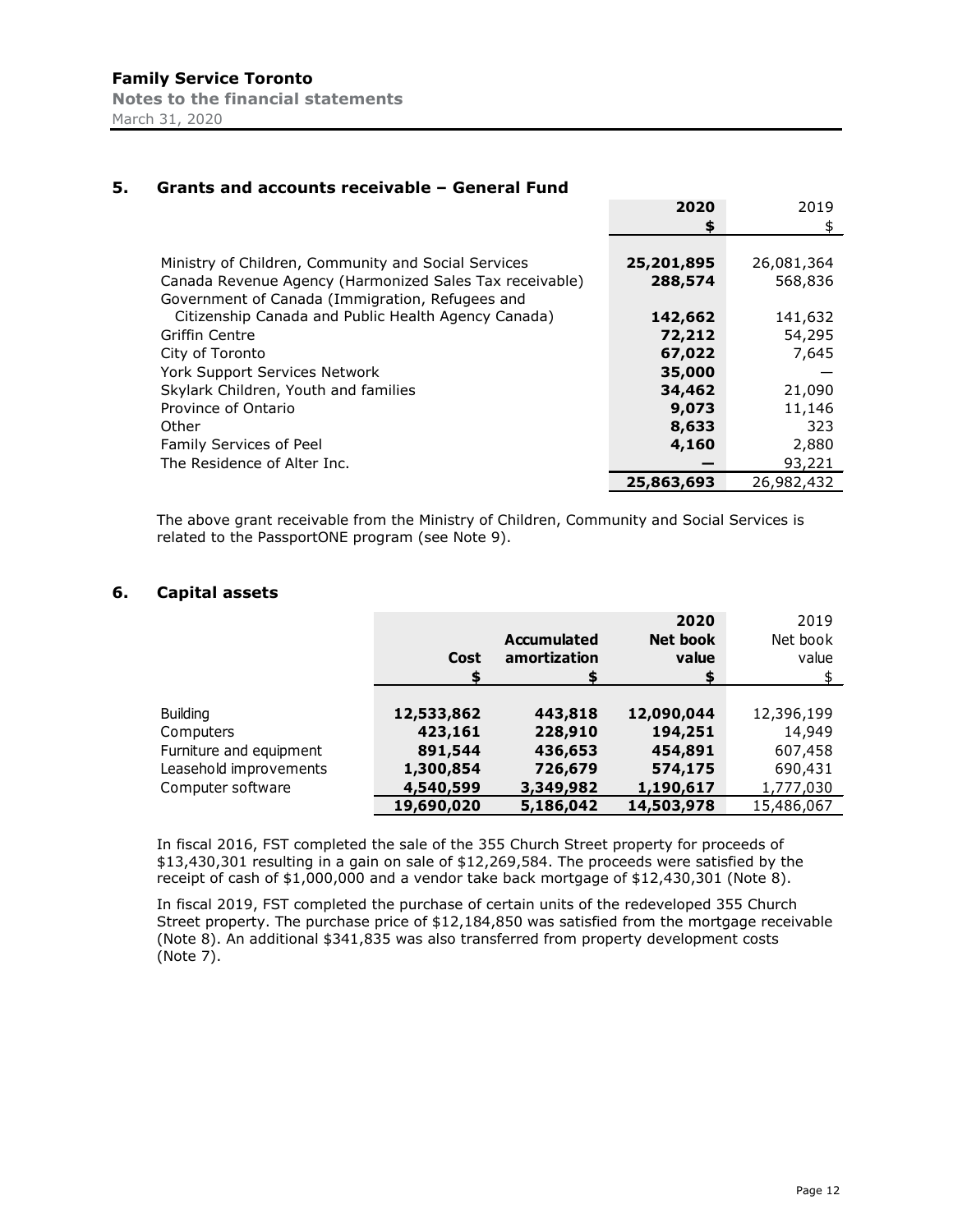|                                                         | 2020       | 2019       |
|---------------------------------------------------------|------------|------------|
|                                                         | \$         | \$         |
|                                                         |            |            |
| Ministry of Children, Community and Social Services     | 25,201,895 | 26,081,364 |
| Canada Revenue Agency (Harmonized Sales Tax receivable) | 288,574    | 568,836    |
| Government of Canada (Immigration, Refugees and         |            |            |
| Citizenship Canada and Public Health Agency Canada)     | 142,662    | 141,632    |
| Griffin Centre                                          | 72,212     | 54,295     |
| City of Toronto                                         | 67,022     | 7,645      |
| York Support Services Network                           | 35,000     |            |
| Skylark Children, Youth and families                    | 34,462     | 21,090     |
| Province of Ontario                                     | 9,073      | 11,146     |
| Other                                                   | 8,633      | 323        |
| Family Services of Peel                                 | 4,160      | 2,880      |
| The Residence of Alter Inc.                             |            | 93,221     |
|                                                         | 25,863,693 | 26,982,432 |

#### **5. Grants and accounts receivable – General Fund**

The above grant receivable from the Ministry of Children, Community and Social Services is related to the PassportONE program (see Note 9).

# **6. Capital assets**

|                         |            | <b>Accumulated</b> | 2020<br>Net book | 2019<br>Net book |
|-------------------------|------------|--------------------|------------------|------------------|
|                         | Cost       | amortization       | value<br>S       | value            |
|                         |            |                    |                  |                  |
| <b>Building</b>         | 12,533,862 | 443,818            | 12,090,044       | 12,396,199       |
| Computers               | 423,161    | 228,910            | 194,251          | 14,949           |
| Furniture and equipment | 891,544    | 436,653            | 454,891          | 607,458          |
| Leasehold improvements  | 1,300,854  | 726,679            | 574,175          | 690,431          |
| Computer software       | 4,540,599  | 3,349,982          | 1,190,617        | 1,777,030        |
|                         | 19,690,020 | 5,186,042          | 14,503,978       | 15,486,067       |

In fiscal 2016, FST completed the sale of the 355 Church Street property for proceeds of \$13,430,301 resulting in a gain on sale of \$12,269,584. The proceeds were satisfied by the receipt of cash of \$1,000,000 and a vendor take back mortgage of \$12,430,301 (Note 8).

In fiscal 2019, FST completed the purchase of certain units of the redeveloped 355 Church Street property. The purchase price of \$12,184,850 was satisfied from the mortgage receivable (Note 8). An additional \$341,835 was also transferred from property development costs (Note 7).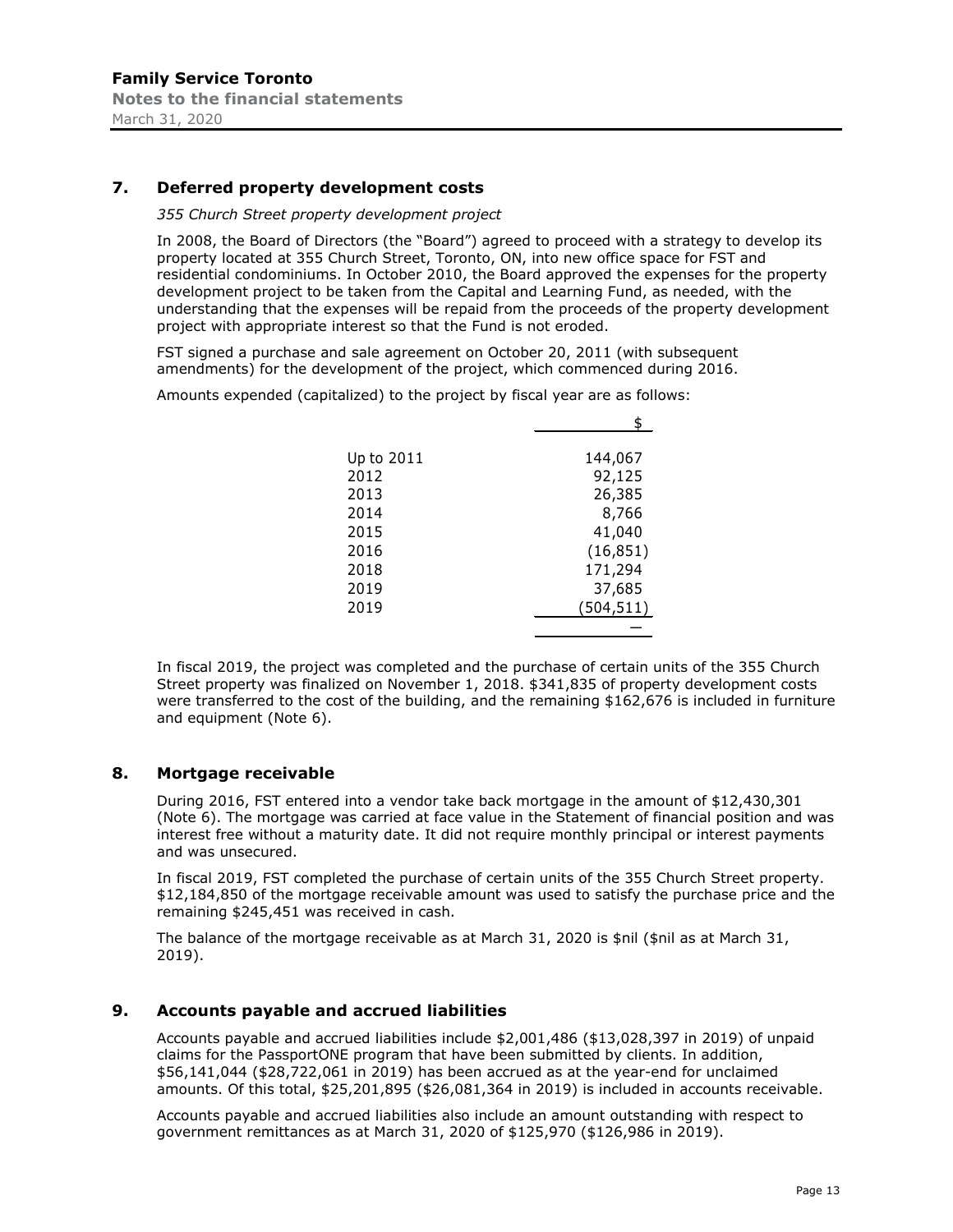# **7. Deferred property development costs**

#### *355 Church Street property development project*

In 2008, the Board of Directors (the "Board") agreed to proceed with a strategy to develop its property located at 355 Church Street, Toronto, ON, into new office space for FST and residential condominiums. In October 2010, the Board approved the expenses for the property development project to be taken from the Capital and Learning Fund, as needed, with the understanding that the expenses will be repaid from the proceeds of the property development project with appropriate interest so that the Fund is not eroded.

FST signed a purchase and sale agreement on October 20, 2011 (with subsequent amendments) for the development of the project, which commenced during 2016.

Amounts expended (capitalized) to the project by fiscal year are as follows:

| Up to 2011 | 144,067    |
|------------|------------|
| 2012       | 92,125     |
| 2013       | 26,385     |
| 2014       | 8,766      |
| 2015       | 41,040     |
| 2016       | (16, 851)  |
| 2018       | 171,294    |
| 2019       | 37,685     |
| 2019       | (504, 511) |
|            |            |

In fiscal 2019, the project was completed and the purchase of certain units of the 355 Church Street property was finalized on November 1, 2018. \$341,835 of property development costs were transferred to the cost of the building, and the remaining \$162,676 is included in furniture and equipment (Note 6).

#### **8. Mortgage receivable**

During 2016, FST entered into a vendor take back mortgage in the amount of \$12,430,301 (Note 6). The mortgage was carried at face value in the Statement of financial position and was interest free without a maturity date. It did not require monthly principal or interest payments and was unsecured.

In fiscal 2019, FST completed the purchase of certain units of the 355 Church Street property. \$12,184,850 of the mortgage receivable amount was used to satisfy the purchase price and the remaining \$245,451 was received in cash.

The balance of the mortgage receivable as at March 31, 2020 is \$nil (\$nil as at March 31, 2019).

#### **9. Accounts payable and accrued liabilities**

Accounts payable and accrued liabilities include \$2,001,486 (\$13,028,397 in 2019) of unpaid claims for the PassportONE program that have been submitted by clients. In addition, \$56,141,044 (\$28,722,061 in 2019) has been accrued as at the year-end for unclaimed amounts. Of this total, \$25,201,895 (\$26,081,364 in 2019) is included in accounts receivable.

Accounts payable and accrued liabilities also include an amount outstanding with respect to government remittances as at March 31, 2020 of \$125,970 (\$126,986 in 2019).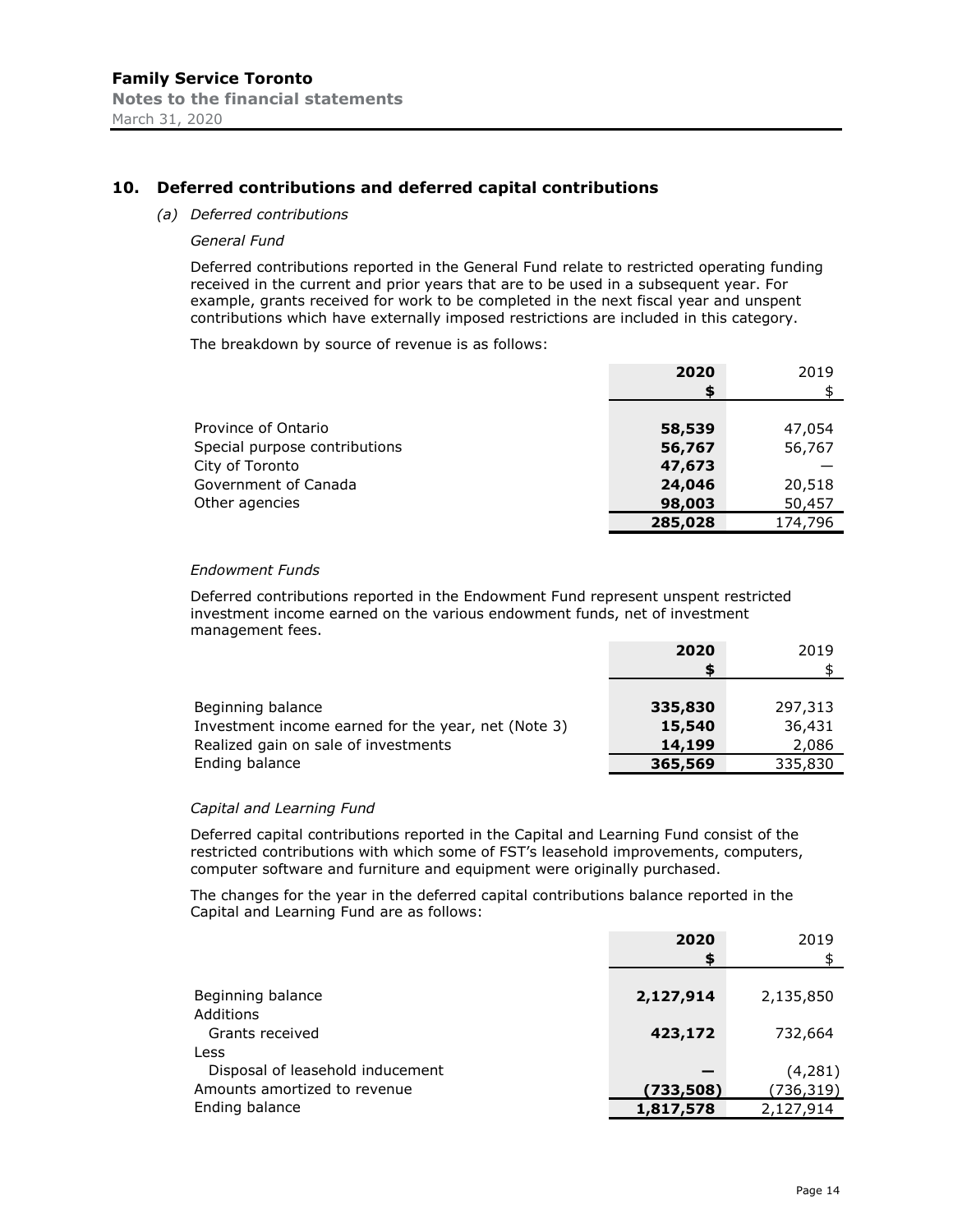#### **10. Deferred contributions and deferred capital contributions**

#### *(a) Deferred contributions*

#### *General Fund*

Deferred contributions reported in the General Fund relate to restricted operating funding received in the current and prior years that are to be used in a subsequent year. For example, grants received for work to be completed in the next fiscal year and unspent contributions which have externally imposed restrictions are included in this category.

The breakdown by source of revenue is as follows:

|                               | 2020    | 2019    |
|-------------------------------|---------|---------|
|                               | S       |         |
| Province of Ontario           | 58,539  | 47,054  |
| Special purpose contributions | 56,767  | 56,767  |
| City of Toronto               | 47,673  |         |
| Government of Canada          | 24,046  | 20,518  |
| Other agencies                | 98,003  | 50,457  |
|                               | 285,028 | 174,796 |

#### *Endowment Funds*

Deferred contributions reported in the Endowment Fund represent unspent restricted investment income earned on the various endowment funds, net of investment management fees.

|                                                                                             | 2020             | 2019             |
|---------------------------------------------------------------------------------------------|------------------|------------------|
| Beginning balance                                                                           | 335,830          | 297,313          |
| Investment income earned for the year, net (Note 3)<br>Realized gain on sale of investments | 15,540<br>14,199 | 36,431           |
| Ending balance                                                                              | 365,569          | 2,086<br>335,830 |

#### *Capital and Learning Fund*

Deferred capital contributions reported in the Capital and Learning Fund consist of the restricted contributions with which some of FST's leasehold improvements, computers, computer software and furniture and equipment were originally purchased.

The changes for the year in the deferred capital contributions balance reported in the Capital and Learning Fund are as follows:

|                                          | 2020<br>S | 2019      |
|------------------------------------------|-----------|-----------|
| Beginning balance                        | 2,127,914 | 2,135,850 |
| Additions<br>Grants received             | 423,172   | 732,664   |
| Less<br>Disposal of leasehold inducement |           | (4,281)   |
| Amounts amortized to revenue             | (733,508) | (736,319) |
| Ending balance                           | 1,817,578 | 2,127,914 |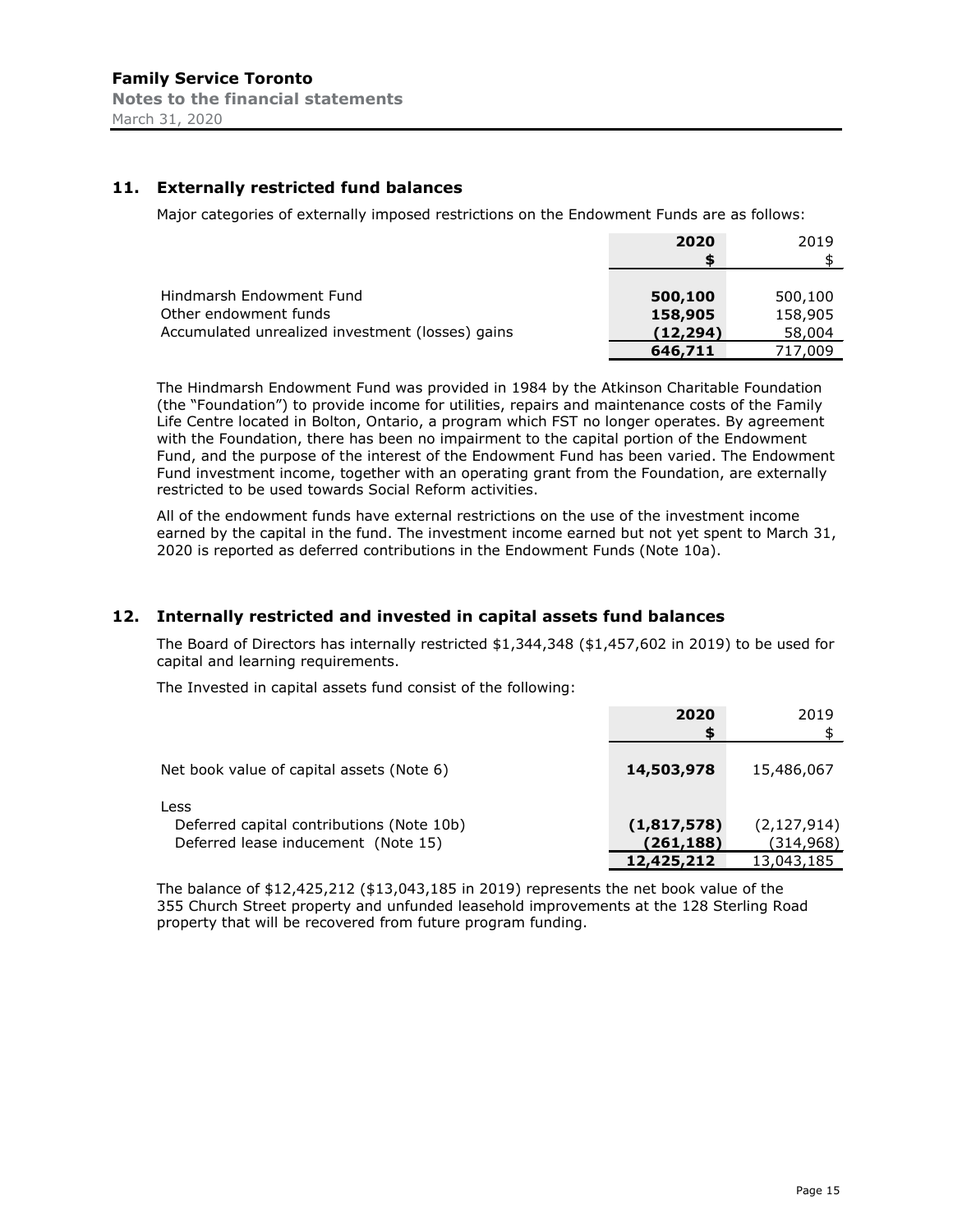# **11. Externally restricted fund balances**

Major categories of externally imposed restrictions on the Endowment Funds are as follows:

|                                                  | 2020     | 2019    |
|--------------------------------------------------|----------|---------|
|                                                  |          |         |
|                                                  |          |         |
| Hindmarsh Endowment Fund                         | 500,100  | 500,100 |
| Other endowment funds                            | 158,905  | 158,905 |
| Accumulated unrealized investment (losses) gains | (12,294) | 58,004  |
|                                                  | 646,711  | 717,009 |

The Hindmarsh Endowment Fund was provided in 1984 by the Atkinson Charitable Foundation (the "Foundation") to provide income for utilities, repairs and maintenance costs of the Family Life Centre located in Bolton, Ontario, a program which FST no longer operates. By agreement with the Foundation, there has been no impairment to the capital portion of the Endowment Fund, and the purpose of the interest of the Endowment Fund has been varied. The Endowment Fund investment income, together with an operating grant from the Foundation, are externally restricted to be used towards Social Reform activities.

All of the endowment funds have external restrictions on the use of the investment income earned by the capital in the fund. The investment income earned but not yet spent to March 31, 2020 is reported as deferred contributions in the Endowment Funds (Note 10a).

#### **12. Internally restricted and invested in capital assets fund balances**

The Board of Directors has internally restricted \$1,344,348 (\$1,457,602 in 2019) to be used for capital and learning requirements.

The Invested in capital assets fund consist of the following:

|                                                                                          | 2020<br>\$                             | 2019                                      |
|------------------------------------------------------------------------------------------|----------------------------------------|-------------------------------------------|
| Net book value of capital assets (Note 6)                                                | 14,503,978                             | 15,486,067                                |
| Less<br>Deferred capital contributions (Note 10b)<br>Deferred lease inducement (Note 15) | (1,817,578)<br>(261,188)<br>12,425,212 | (2, 127, 914)<br>(314, 968)<br>13,043,185 |

The balance of \$12,425,212 (\$13,043,185 in 2019) represents the net book value of the 355 Church Street property and unfunded leasehold improvements at the 128 Sterling Road property that will be recovered from future program funding.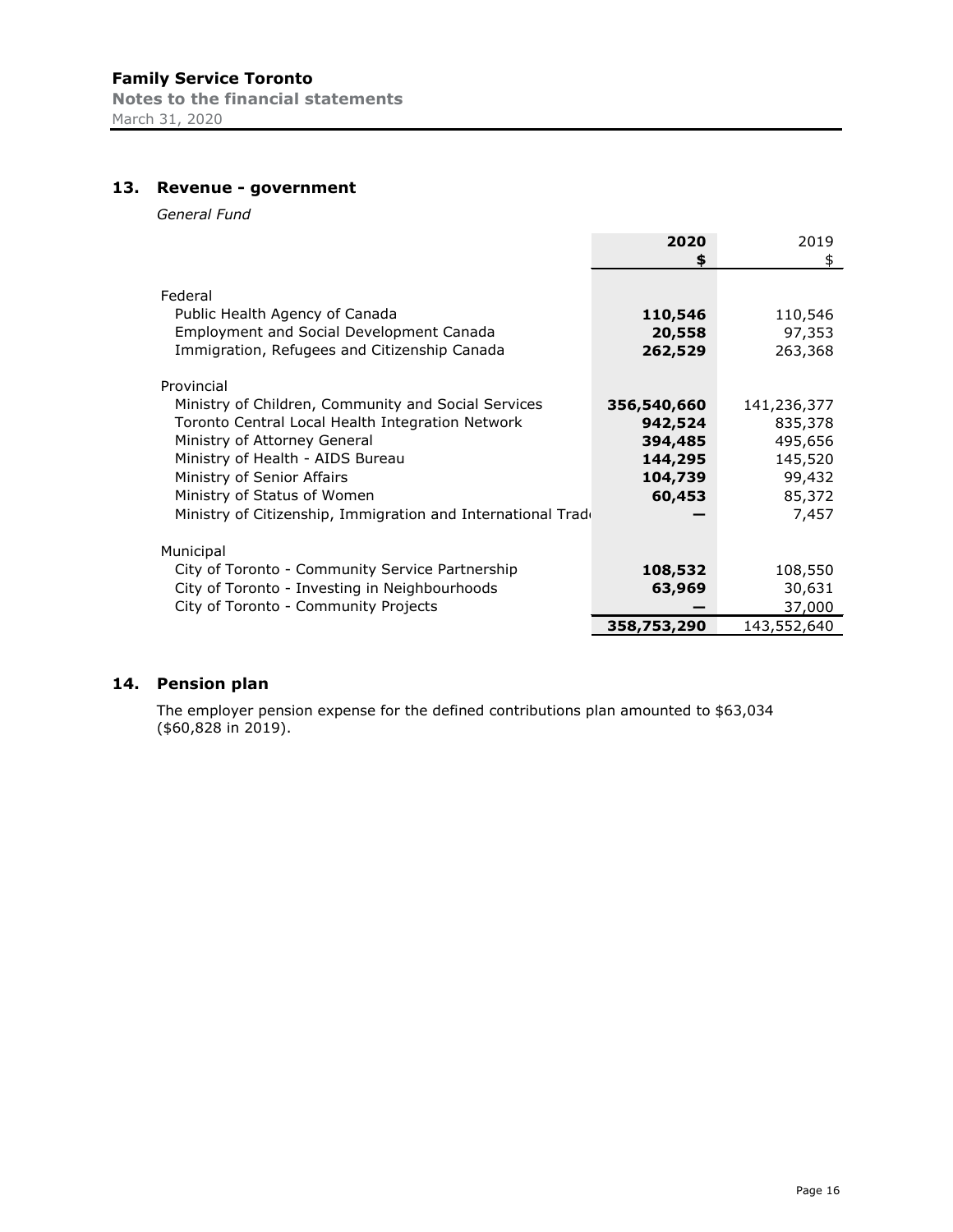# **13. Revenue - government**

*General Fund*

|                                                                                                                                                                                                                                                                                                                        | 2020                                                              | 2019                                                                      |
|------------------------------------------------------------------------------------------------------------------------------------------------------------------------------------------------------------------------------------------------------------------------------------------------------------------------|-------------------------------------------------------------------|---------------------------------------------------------------------------|
|                                                                                                                                                                                                                                                                                                                        | S                                                                 | \$                                                                        |
| Federal<br>Public Health Agency of Canada<br><b>Employment and Social Development Canada</b><br>Immigration, Refugees and Citizenship Canada                                                                                                                                                                           | 110,546<br>20,558<br>262,529                                      | 110,546<br>97,353<br>263,368                                              |
| Provincial<br>Ministry of Children, Community and Social Services<br>Toronto Central Local Health Integration Network<br>Ministry of Attorney General<br>Ministry of Health - AIDS Bureau<br>Ministry of Senior Affairs<br>Ministry of Status of Women<br>Ministry of Citizenship, Immigration and International Trade | 356,540,660<br>942,524<br>394,485<br>144,295<br>104,739<br>60,453 | 141,236,377<br>835,378<br>495,656<br>145,520<br>99,432<br>85,372<br>7,457 |
| Municipal                                                                                                                                                                                                                                                                                                              |                                                                   |                                                                           |
| City of Toronto - Community Service Partnership                                                                                                                                                                                                                                                                        | 108,532                                                           | 108,550                                                                   |
| City of Toronto - Investing in Neighbourhoods                                                                                                                                                                                                                                                                          | 63,969                                                            | 30,631                                                                    |
| City of Toronto - Community Projects                                                                                                                                                                                                                                                                                   |                                                                   | 37,000                                                                    |
|                                                                                                                                                                                                                                                                                                                        | 358,753,290                                                       | 143,552,640                                                               |

# **14. Pension plan**

The employer pension expense for the defined contributions plan amounted to \$63,034 (\$60,828 in 2019).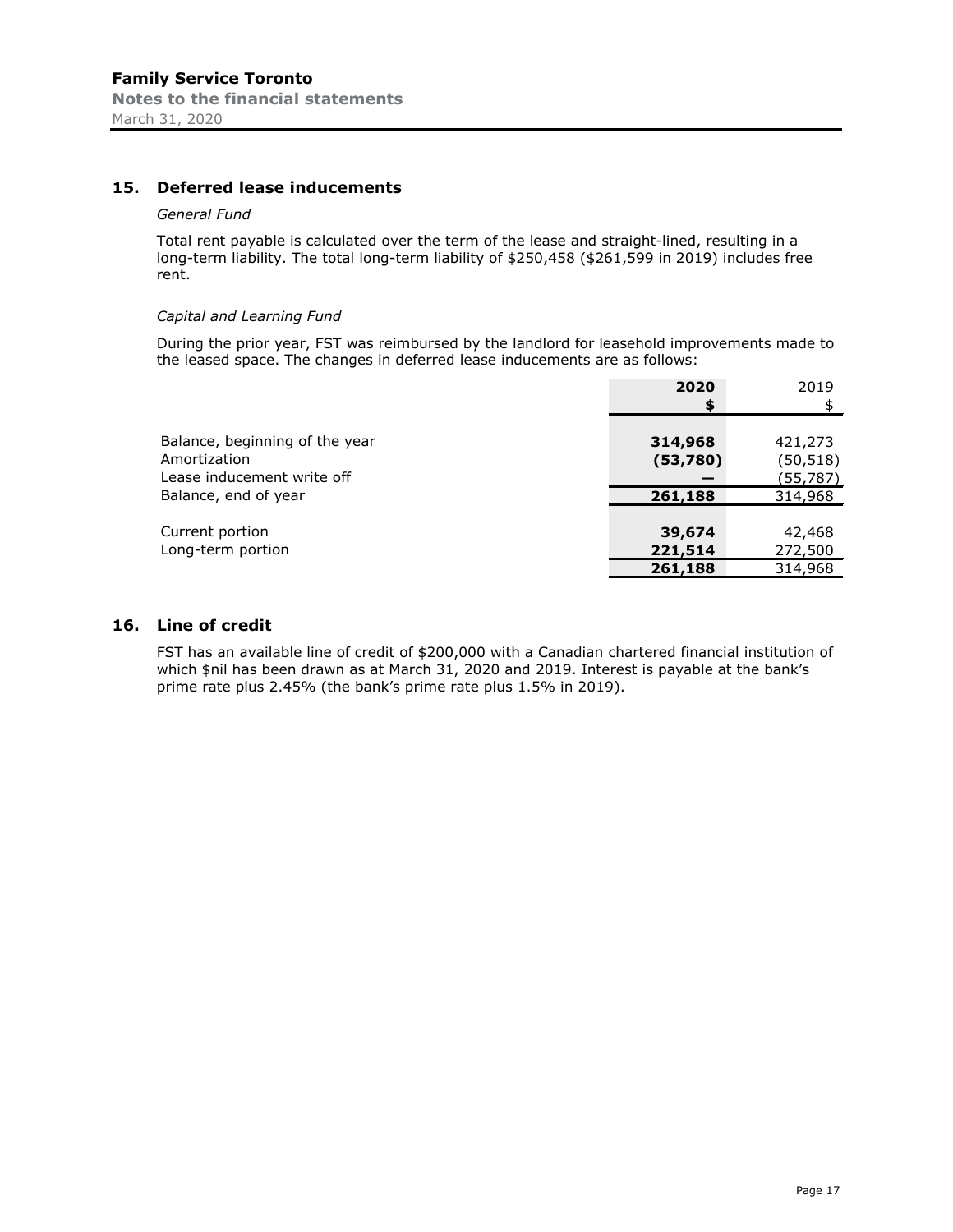# **15. Deferred lease inducements**

#### *General Fund*

Total rent payable is calculated over the term of the lease and straight-lined, resulting in a long-term liability. The total long-term liability of \$250,458 (\$261,599 in 2019) includes free rent.

#### *Capital and Learning Fund*

During the prior year, FST was reimbursed by the landlord for leasehold improvements made to the leased space. The changes in deferred lease inducements are as follows:

|                                | 2020     | 2019      |
|--------------------------------|----------|-----------|
|                                | \$       |           |
|                                |          |           |
| Balance, beginning of the year | 314,968  | 421,273   |
| Amortization                   | (53,780) | (50, 518) |
| Lease inducement write off     |          | (55,787)  |
| Balance, end of year           | 261,188  | 314,968   |
|                                |          |           |
| Current portion                | 39,674   | 42,468    |
| Long-term portion              | 221,514  | 272,500   |
|                                | 261,188  | 314,968   |

#### **16. Line of credit**

FST has an available line of credit of \$200,000 with a Canadian chartered financial institution of which \$nil has been drawn as at March 31, 2020 and 2019. Interest is payable at the bank's prime rate plus 2.45% (the bank's prime rate plus 1.5% in 2019).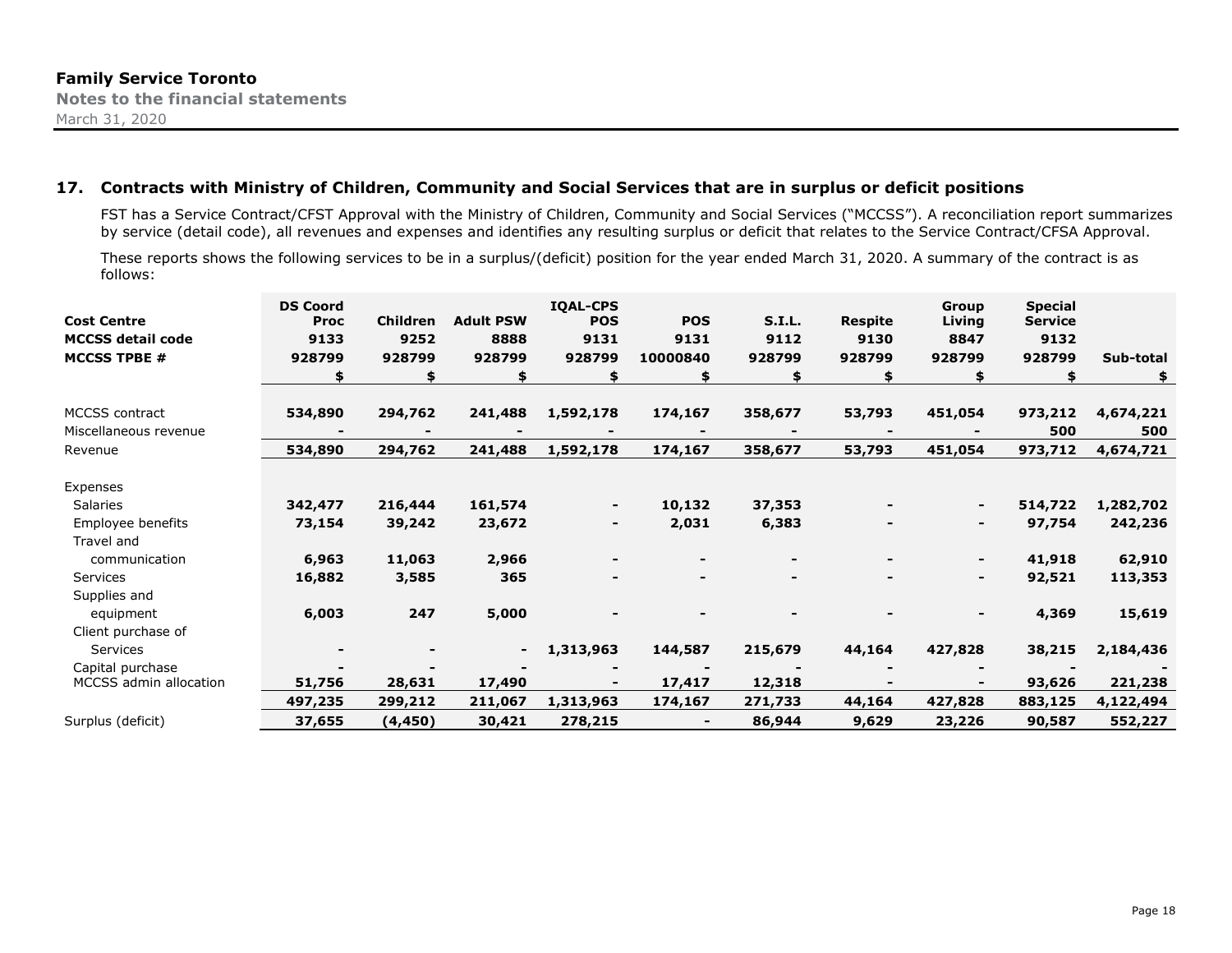# **17. Contracts with Ministry of Children, Community and Social Services that are in surplus or deficit positions**

FST has a Service Contract/CFST Approval with the Ministry of Children, Community and Social Services ("MCCSS"). A reconciliation report summarizes by service (detail code), all revenues and expenses and identifies any resulting surplus or deficit that relates to the Service Contract/CFSA Approval.

These reports shows the following services to be in a surplus/(deficit) position for the year ended March 31, 2020. A summary of the contract is as follows:

| <b>Cost Centre</b><br><b>MCCSS detail code</b><br><b>MCCSS TPBE #</b> | <b>DS Coord</b><br><b>Proc</b><br>9133<br>928799 | <b>Children</b><br>9252<br>928799 | <b>Adult PSW</b><br>8888<br>928799 | <b>IQAL-CPS</b><br><b>POS</b><br>9131<br>928799 | <b>POS</b><br>9131<br>10000840 | <b>S.I.L.</b><br>9112<br>928799 | Respite<br>9130<br>928799 | Group<br>Living<br>8847<br>928799 | <b>Special</b><br><b>Service</b><br>9132<br>928799 | Sub-total<br>\$ |
|-----------------------------------------------------------------------|--------------------------------------------------|-----------------------------------|------------------------------------|-------------------------------------------------|--------------------------------|---------------------------------|---------------------------|-----------------------------------|----------------------------------------------------|-----------------|
| <b>MCCSS</b> contract                                                 | 534,890                                          | 294,762                           | 241,488                            | 1,592,178                                       | 174,167                        | 358,677                         | 53,793                    | 451,054                           | 973,212                                            | 4,674,221       |
| Miscellaneous revenue                                                 |                                                  |                                   |                                    |                                                 |                                |                                 |                           |                                   | 500                                                | 500             |
| Revenue                                                               | 534,890                                          | 294,762                           | 241,488                            | 1,592,178                                       | 174,167                        | 358,677                         | 53,793                    | 451,054                           | 973,712                                            | 4,674,721       |
|                                                                       |                                                  |                                   |                                    |                                                 |                                |                                 |                           |                                   |                                                    |                 |
| Expenses                                                              |                                                  |                                   |                                    |                                                 |                                |                                 |                           |                                   |                                                    |                 |
| Salaries                                                              | 342,477                                          | 216,444                           | 161,574                            |                                                 | 10,132                         | 37,353                          |                           |                                   | 514,722                                            | 1,282,702       |
| Employee benefits                                                     | 73,154                                           | 39,242                            | 23,672                             |                                                 | 2,031                          | 6,383                           |                           |                                   | 97,754                                             | 242,236         |
| Travel and                                                            |                                                  |                                   |                                    |                                                 |                                |                                 |                           |                                   |                                                    |                 |
| communication                                                         | 6,963                                            | 11,063                            | 2,966                              |                                                 |                                |                                 |                           | ٠                                 | 41,918                                             | 62,910          |
| Services                                                              | 16,882                                           | 3,585                             | 365                                |                                                 | -                              |                                 |                           |                                   | 92,521                                             | 113,353         |
| Supplies and                                                          |                                                  |                                   |                                    |                                                 |                                |                                 |                           |                                   |                                                    |                 |
| equipment                                                             | 6,003                                            | 247                               | 5,000                              |                                                 |                                | $\overline{\phantom{0}}$        |                           | $\blacksquare$                    | 4,369                                              | 15,619          |
| Client purchase of                                                    |                                                  |                                   |                                    |                                                 |                                |                                 |                           |                                   |                                                    |                 |
| Services                                                              |                                                  |                                   | ۰.                                 | 1,313,963                                       | 144,587                        | 215,679                         | 44,164                    | 427,828                           | 38,215                                             | 2,184,436       |
| Capital purchase                                                      |                                                  |                                   |                                    |                                                 |                                |                                 |                           |                                   |                                                    |                 |
| <b>MCCSS</b> admin allocation                                         | 51,756                                           | 28,631                            | 17,490                             | $\blacksquare$                                  | 17,417                         | 12,318                          |                           |                                   | 93,626                                             | 221,238         |
|                                                                       | 497,235                                          | 299,212                           | 211,067                            | 1,313,963                                       | 174,167                        | 271,733                         | 44,164                    | 427,828                           | 883,125                                            | 4,122,494       |
| Surplus (deficit)                                                     | 37,655                                           | (4, 450)                          | 30,421                             | 278,215                                         |                                | 86,944                          | 9,629                     | 23,226                            | 90,587                                             | 552,227         |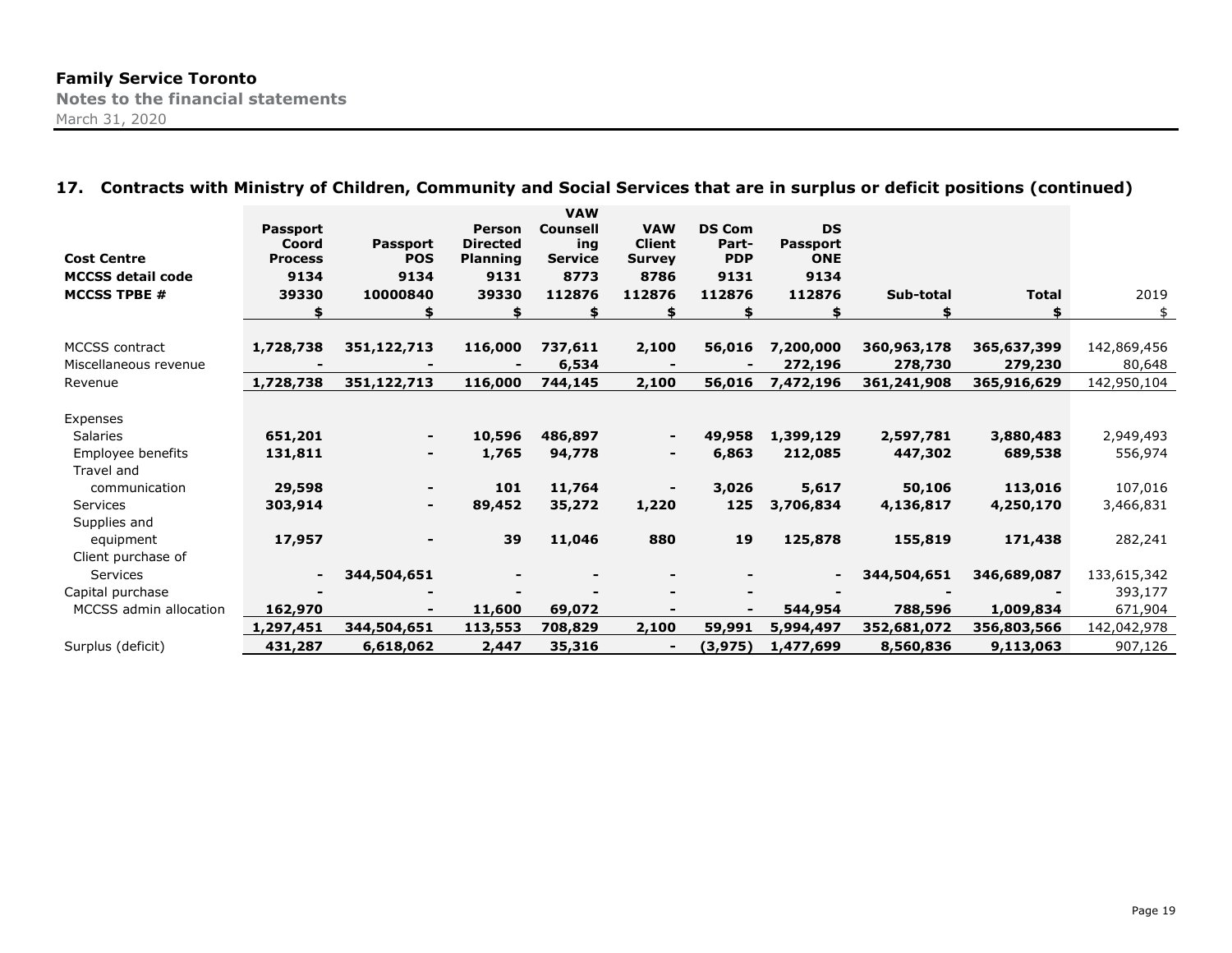# **17. Contracts with Ministry of Children, Community and Social Services that are in surplus or deficit positions (continued)**

| <b>Cost Centre</b>       | <b>Passport</b><br>Coord<br><b>Process</b> | <b>Passport</b><br><b>POS</b> | <b>Person</b><br><b>Directed</b><br><b>Planning</b> | <b>VAW</b><br><b>Counsell</b><br>ing<br><b>Service</b> | <b>VAW</b><br><b>Client</b><br><b>Survey</b> | <b>DS Com</b><br>Part-<br><b>PDP</b> | <b>DS</b><br><b>Passport</b><br><b>ONE</b> |             |              |             |
|--------------------------|--------------------------------------------|-------------------------------|-----------------------------------------------------|--------------------------------------------------------|----------------------------------------------|--------------------------------------|--------------------------------------------|-------------|--------------|-------------|
| <b>MCCSS detail code</b> | 9134                                       | 9134                          | 9131                                                | 8773                                                   | 8786                                         | 9131                                 | 9134                                       |             |              |             |
| <b>MCCSS TPBE #</b>      | 39330                                      | 10000840                      | 39330                                               | 112876                                                 | 112876                                       | 112876                               | 112876                                     | Sub-total   | <b>Total</b> | 2019        |
|                          |                                            |                               |                                                     |                                                        |                                              | \$                                   |                                            |             |              | \$          |
|                          |                                            |                               |                                                     |                                                        |                                              |                                      |                                            |             |              |             |
| <b>MCCSS</b> contract    | 1,728,738                                  | 351,122,713                   | 116,000                                             | 737,611                                                | 2,100                                        | 56,016                               | 7,200,000                                  | 360,963,178 | 365,637,399  | 142,869,456 |
| Miscellaneous revenue    |                                            |                               |                                                     | 6,534                                                  |                                              |                                      | 272,196                                    | 278,730     | 279,230      | 80,648      |
| Revenue                  | 1,728,738                                  | 351,122,713                   | 116,000                                             | 744,145                                                | 2,100                                        | 56,016                               | 7,472,196                                  | 361,241,908 | 365,916,629  | 142,950,104 |
|                          |                                            |                               |                                                     |                                                        |                                              |                                      |                                            |             |              |             |
| Expenses                 |                                            |                               |                                                     |                                                        |                                              |                                      |                                            |             |              |             |
| <b>Salaries</b>          | 651,201                                    |                               | 10,596                                              | 486,897                                                |                                              | 49,958                               | 1,399,129                                  | 2,597,781   | 3,880,483    | 2,949,493   |
| Employee benefits        | 131,811                                    |                               | 1,765                                               | 94,778                                                 |                                              | 6,863                                | 212,085                                    | 447,302     | 689,538      | 556,974     |
| Travel and               |                                            |                               |                                                     |                                                        |                                              |                                      |                                            |             |              |             |
| communication            | 29,598                                     |                               | 101                                                 | 11,764                                                 |                                              | 3,026                                | 5,617                                      | 50,106      | 113,016      | 107,016     |
| Services                 | 303,914                                    |                               | 89,452                                              | 35,272                                                 | 1,220                                        | 125                                  | 3,706,834                                  | 4,136,817   | 4,250,170    | 3,466,831   |
| Supplies and             |                                            |                               |                                                     |                                                        |                                              |                                      |                                            |             |              |             |
| equipment                | 17,957                                     |                               | 39                                                  | 11,046                                                 | 880                                          | 19                                   | 125,878                                    | 155,819     | 171,438      | 282,241     |
| Client purchase of       |                                            |                               |                                                     |                                                        |                                              |                                      |                                            |             |              |             |
| Services                 | $\blacksquare$                             | 344,504,651                   |                                                     |                                                        |                                              |                                      |                                            | 344,504,651 | 346,689,087  | 133,615,342 |
| Capital purchase         |                                            |                               |                                                     |                                                        |                                              |                                      |                                            |             |              | 393,177     |
| MCCSS admin allocation   | 162,970                                    |                               | 11,600                                              | 69,072                                                 |                                              |                                      | 544,954                                    | 788,596     | 1,009,834    | 671,904     |
|                          | 1,297,451                                  | 344,504,651                   | 113,553                                             | 708,829                                                | 2,100                                        | 59,991                               | 5,994,497                                  | 352,681,072 | 356,803,566  | 142,042,978 |
| Surplus (deficit)        | 431,287                                    | 6,618,062                     | 2,447                                               | 35,316                                                 |                                              | (3, 975)                             | 1,477,699                                  | 8,560,836   | 9,113,063    | 907,126     |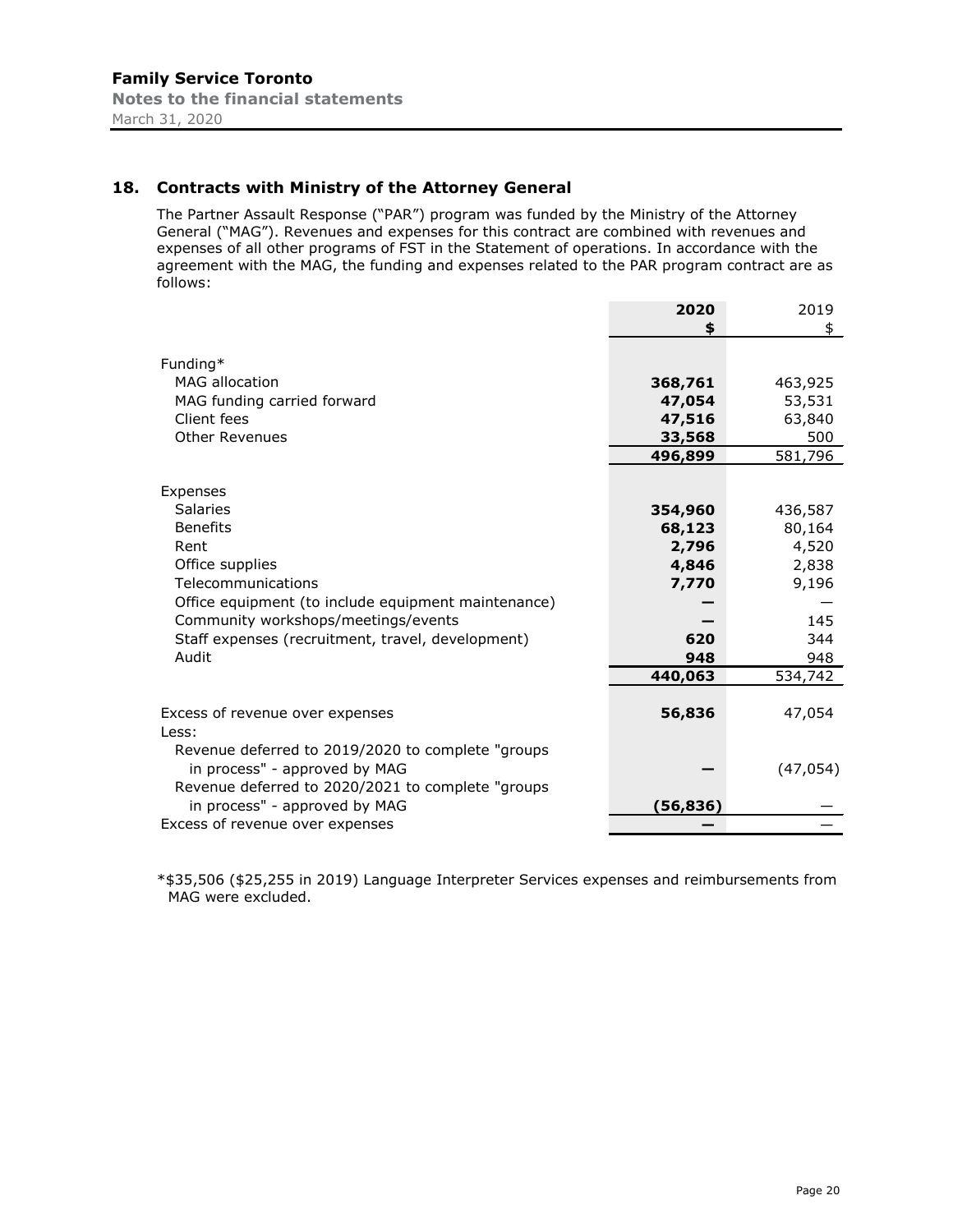# **18. Contracts with Ministry of the Attorney General**

The Partner Assault Response ("PAR") program was funded by the Ministry of the Attorney General ("MAG"). Revenues and expenses for this contract are combined with revenues and expenses of all other programs of FST in the Statement of operations. In accordance with the agreement with the MAG, the funding and expenses related to the PAR program contract are as follows:

| \$<br>Funding*<br><b>MAG allocation</b><br>368,761<br>463,925<br>MAG funding carried forward<br>47,054<br>53,531<br>Client fees<br>47,516<br>63,840<br><b>Other Revenues</b><br>500<br>33,568<br>581,796<br>496,899<br>Expenses<br>Salaries<br>354,960<br>436,587<br><b>Benefits</b><br>68,123<br>80,164<br>2,796<br>4,520<br>Rent<br>Office supplies<br>4,846<br>2,838<br>Telecommunications<br>9,196<br>7,770<br>Office equipment (to include equipment maintenance)<br>Community workshops/meetings/events<br>145<br>Staff expenses (recruitment, travel, development)<br>620<br>344<br>Audit<br>948<br>948<br>440,063<br>534,742<br>Excess of revenue over expenses<br>56,836<br>47,054<br>Less:<br>Revenue deferred to 2019/2020 to complete "groups<br>in process" - approved by MAG<br>(47, 054)<br>Revenue deferred to 2020/2021 to complete "groups<br>in process" - approved by MAG<br>(56, 836)<br>Excess of revenue over expenses | 2020 | 2019 |
|-----------------------------------------------------------------------------------------------------------------------------------------------------------------------------------------------------------------------------------------------------------------------------------------------------------------------------------------------------------------------------------------------------------------------------------------------------------------------------------------------------------------------------------------------------------------------------------------------------------------------------------------------------------------------------------------------------------------------------------------------------------------------------------------------------------------------------------------------------------------------------------------------------------------------------------------------|------|------|
|                                                                                                                                                                                                                                                                                                                                                                                                                                                                                                                                                                                                                                                                                                                                                                                                                                                                                                                                               |      |      |
|                                                                                                                                                                                                                                                                                                                                                                                                                                                                                                                                                                                                                                                                                                                                                                                                                                                                                                                                               |      |      |
|                                                                                                                                                                                                                                                                                                                                                                                                                                                                                                                                                                                                                                                                                                                                                                                                                                                                                                                                               |      |      |
|                                                                                                                                                                                                                                                                                                                                                                                                                                                                                                                                                                                                                                                                                                                                                                                                                                                                                                                                               |      |      |
|                                                                                                                                                                                                                                                                                                                                                                                                                                                                                                                                                                                                                                                                                                                                                                                                                                                                                                                                               |      |      |
|                                                                                                                                                                                                                                                                                                                                                                                                                                                                                                                                                                                                                                                                                                                                                                                                                                                                                                                                               |      |      |
|                                                                                                                                                                                                                                                                                                                                                                                                                                                                                                                                                                                                                                                                                                                                                                                                                                                                                                                                               |      |      |
|                                                                                                                                                                                                                                                                                                                                                                                                                                                                                                                                                                                                                                                                                                                                                                                                                                                                                                                                               |      |      |
|                                                                                                                                                                                                                                                                                                                                                                                                                                                                                                                                                                                                                                                                                                                                                                                                                                                                                                                                               |      |      |
|                                                                                                                                                                                                                                                                                                                                                                                                                                                                                                                                                                                                                                                                                                                                                                                                                                                                                                                                               |      |      |
|                                                                                                                                                                                                                                                                                                                                                                                                                                                                                                                                                                                                                                                                                                                                                                                                                                                                                                                                               |      |      |
|                                                                                                                                                                                                                                                                                                                                                                                                                                                                                                                                                                                                                                                                                                                                                                                                                                                                                                                                               |      |      |
|                                                                                                                                                                                                                                                                                                                                                                                                                                                                                                                                                                                                                                                                                                                                                                                                                                                                                                                                               |      |      |
|                                                                                                                                                                                                                                                                                                                                                                                                                                                                                                                                                                                                                                                                                                                                                                                                                                                                                                                                               |      |      |
|                                                                                                                                                                                                                                                                                                                                                                                                                                                                                                                                                                                                                                                                                                                                                                                                                                                                                                                                               |      |      |
|                                                                                                                                                                                                                                                                                                                                                                                                                                                                                                                                                                                                                                                                                                                                                                                                                                                                                                                                               |      |      |
|                                                                                                                                                                                                                                                                                                                                                                                                                                                                                                                                                                                                                                                                                                                                                                                                                                                                                                                                               |      |      |
|                                                                                                                                                                                                                                                                                                                                                                                                                                                                                                                                                                                                                                                                                                                                                                                                                                                                                                                                               |      |      |
|                                                                                                                                                                                                                                                                                                                                                                                                                                                                                                                                                                                                                                                                                                                                                                                                                                                                                                                                               |      |      |
|                                                                                                                                                                                                                                                                                                                                                                                                                                                                                                                                                                                                                                                                                                                                                                                                                                                                                                                                               |      |      |
|                                                                                                                                                                                                                                                                                                                                                                                                                                                                                                                                                                                                                                                                                                                                                                                                                                                                                                                                               |      |      |
|                                                                                                                                                                                                                                                                                                                                                                                                                                                                                                                                                                                                                                                                                                                                                                                                                                                                                                                                               |      |      |
|                                                                                                                                                                                                                                                                                                                                                                                                                                                                                                                                                                                                                                                                                                                                                                                                                                                                                                                                               |      |      |
|                                                                                                                                                                                                                                                                                                                                                                                                                                                                                                                                                                                                                                                                                                                                                                                                                                                                                                                                               |      |      |
|                                                                                                                                                                                                                                                                                                                                                                                                                                                                                                                                                                                                                                                                                                                                                                                                                                                                                                                                               |      |      |
|                                                                                                                                                                                                                                                                                                                                                                                                                                                                                                                                                                                                                                                                                                                                                                                                                                                                                                                                               |      |      |
|                                                                                                                                                                                                                                                                                                                                                                                                                                                                                                                                                                                                                                                                                                                                                                                                                                                                                                                                               |      |      |

\*\$35,506 (\$25,255 in 2019) Language Interpreter Services expenses and reimbursements from MAG were excluded.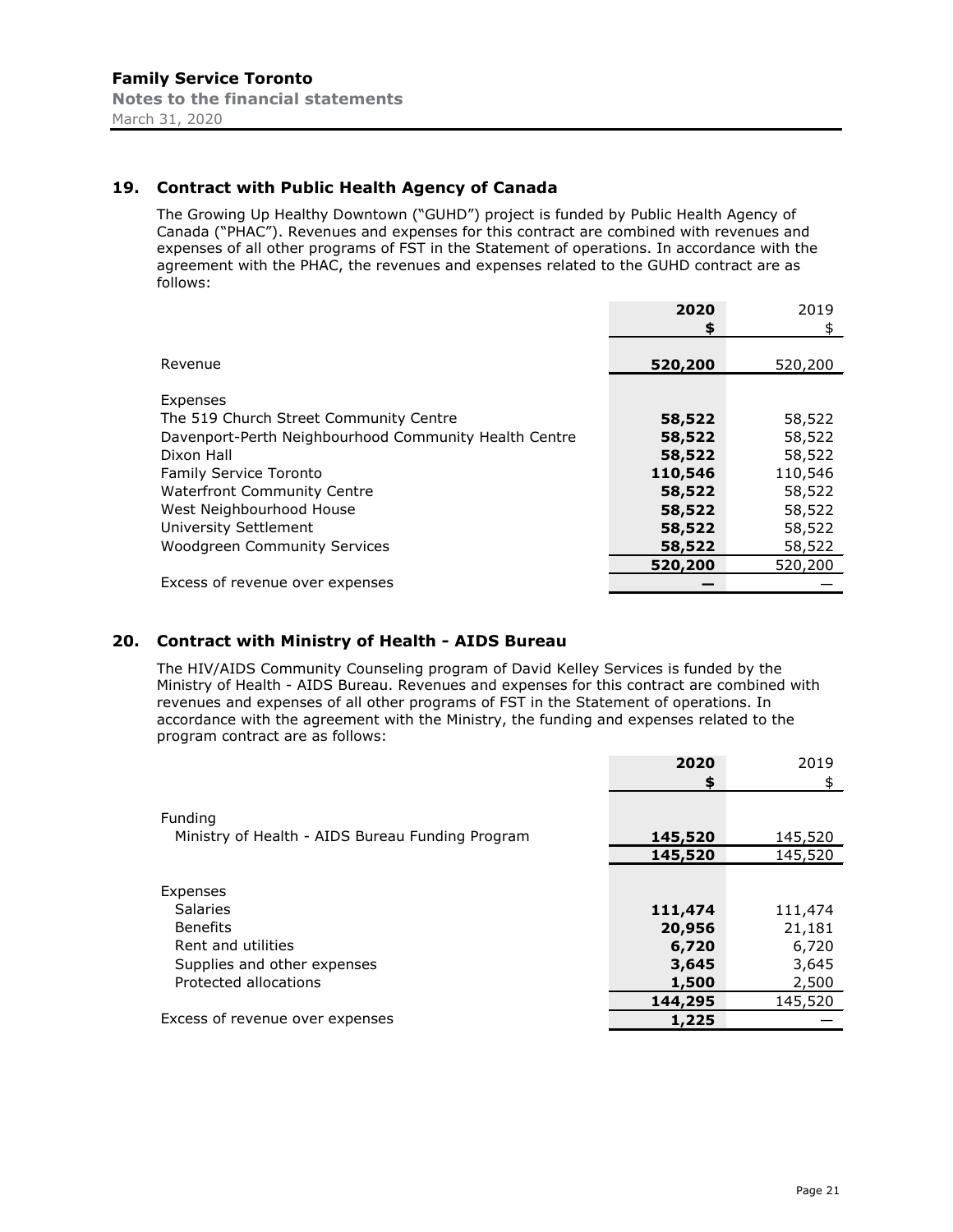# **19. Contract with Public Health Agency of Canada**

The Growing Up Healthy Downtown ("GUHD") project is funded by Public Health Agency of Canada ("PHAC"). Revenues and expenses for this contract are combined with revenues and expenses of all other programs of FST in the Statement of operations. In accordance with the agreement with the PHAC, the revenues and expenses related to the GUHD contract are as follows:

|                                                       | 2020    | 2019    |
|-------------------------------------------------------|---------|---------|
|                                                       | \$      | \$      |
|                                                       |         |         |
| Revenue                                               | 520,200 | 520,200 |
|                                                       |         |         |
| Expenses                                              |         |         |
| The 519 Church Street Community Centre                | 58,522  | 58,522  |
| Davenport-Perth Neighbourhood Community Health Centre | 58,522  | 58,522  |
| Dixon Hall                                            | 58,522  | 58,522  |
| <b>Family Service Toronto</b>                         | 110,546 | 110,546 |
| <b>Waterfront Community Centre</b>                    | 58,522  | 58,522  |
| West Neighbourhood House                              | 58,522  | 58,522  |
| University Settlement                                 | 58,522  | 58,522  |
| <b>Woodgreen Community Services</b>                   | 58,522  | 58,522  |
|                                                       | 520,200 | 520,200 |
| Excess of revenue over expenses                       |         |         |

# **20. Contract with Ministry of Health - AIDS Bureau**

The HIV/AIDS Community Counseling program of David Kelley Services is funded by the Ministry of Health - AIDS Bureau. Revenues and expenses for this contract are combined with revenues and expenses of all other programs of FST in the Statement of operations. In accordance with the agreement with the Ministry, the funding and expenses related to the program contract are as follows:

|                                                  | 2020    | 2019    |
|--------------------------------------------------|---------|---------|
|                                                  | \$      | \$.     |
|                                                  |         |         |
| Funding                                          |         |         |
| Ministry of Health - AIDS Bureau Funding Program | 145,520 | 145,520 |
|                                                  | 145,520 | 145,520 |
|                                                  |         |         |
| Expenses                                         |         |         |
| <b>Salaries</b>                                  | 111,474 | 111,474 |
| <b>Benefits</b>                                  | 20,956  | 21,181  |
| Rent and utilities                               | 6,720   | 6,720   |
| Supplies and other expenses                      | 3,645   | 3,645   |
| Protected allocations                            | 1,500   | 2,500   |
|                                                  | 144,295 | 145,520 |
| Excess of revenue over expenses                  | 1,225   |         |
|                                                  |         |         |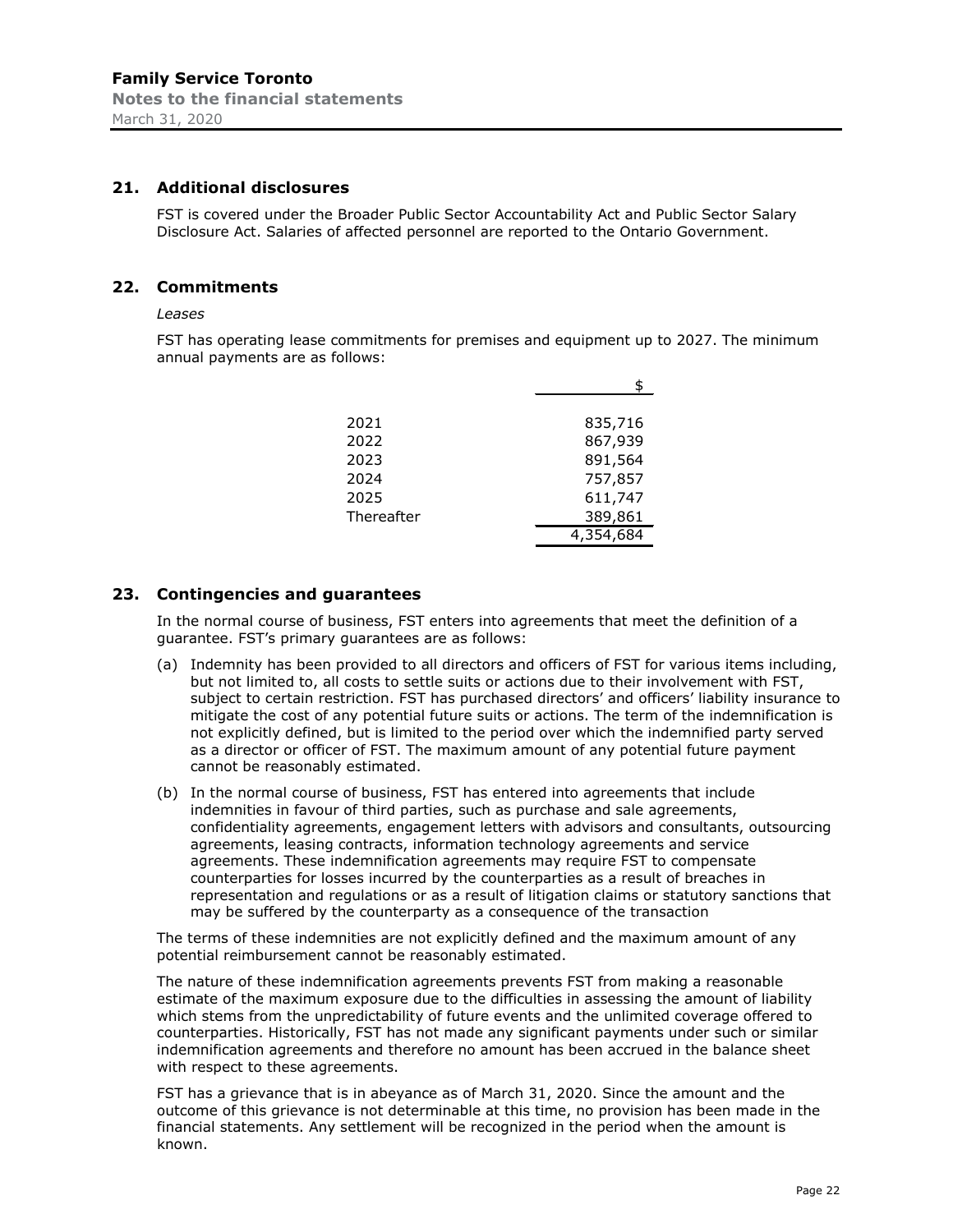# **21. Additional disclosures**

FST is covered under the Broader Public Sector Accountability Act and Public Sector Salary Disclosure Act. Salaries of affected personnel are reported to the Ontario Government.

# **22. Commitments**

#### *Leases*

FST has operating lease commitments for premises and equipment up to 2027. The minimum annual payments are as follows:

| 2021       | 835,716   |
|------------|-----------|
| 2022       | 867,939   |
| 2023       | 891,564   |
| 2024       | 757,857   |
| 2025       | 611,747   |
| Thereafter | 389,861   |
|            | 4,354,684 |

# **23. Contingencies and guarantees**

In the normal course of business, FST enters into agreements that meet the definition of a guarantee. FST's primary guarantees are as follows:

- (a) Indemnity has been provided to all directors and officers of FST for various items including, but not limited to, all costs to settle suits or actions due to their involvement with FST, subject to certain restriction. FST has purchased directors' and officers' liability insurance to mitigate the cost of any potential future suits or actions. The term of the indemnification is not explicitly defined, but is limited to the period over which the indemnified party served as a director or officer of FST. The maximum amount of any potential future payment cannot be reasonably estimated.
- (b) In the normal course of business, FST has entered into agreements that include indemnities in favour of third parties, such as purchase and sale agreements, confidentiality agreements, engagement letters with advisors and consultants, outsourcing agreements, leasing contracts, information technology agreements and service agreements. These indemnification agreements may require FST to compensate counterparties for losses incurred by the counterparties as a result of breaches in representation and regulations or as a result of litigation claims or statutory sanctions that may be suffered by the counterparty as a consequence of the transaction

The terms of these indemnities are not explicitly defined and the maximum amount of any potential reimbursement cannot be reasonably estimated.

The nature of these indemnification agreements prevents FST from making a reasonable estimate of the maximum exposure due to the difficulties in assessing the amount of liability which stems from the unpredictability of future events and the unlimited coverage offered to counterparties. Historically, FST has not made any significant payments under such or similar indemnification agreements and therefore no amount has been accrued in the balance sheet with respect to these agreements.

FST has a grievance that is in abeyance as of March 31, 2020. Since the amount and the outcome of this grievance is not determinable at this time, no provision has been made in the financial statements. Any settlement will be recognized in the period when the amount is known.